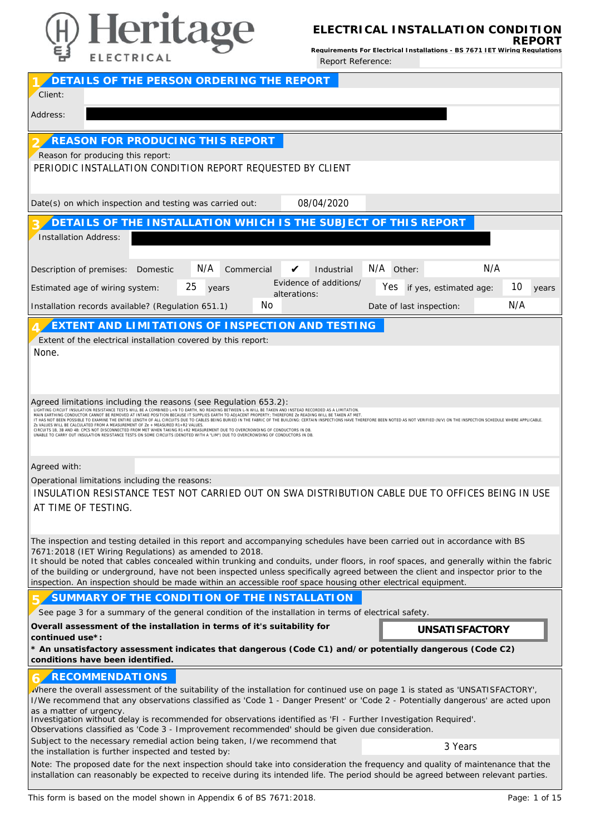

**ELECTRICAL INSTALLATION CONDITION REPORT**

**Requirements For Electrical Installations - BS 7671 IET Wiring Regulations** Report Reference:

| DETAILS OF THE PERSON ORDERING THE REPORT                                                                                                                                                                                                                                                                                                                                                                                                                                                                                                                                                                                                                                                                                                                                                                                                                                                                                                                                      |
|--------------------------------------------------------------------------------------------------------------------------------------------------------------------------------------------------------------------------------------------------------------------------------------------------------------------------------------------------------------------------------------------------------------------------------------------------------------------------------------------------------------------------------------------------------------------------------------------------------------------------------------------------------------------------------------------------------------------------------------------------------------------------------------------------------------------------------------------------------------------------------------------------------------------------------------------------------------------------------|
| Client:                                                                                                                                                                                                                                                                                                                                                                                                                                                                                                                                                                                                                                                                                                                                                                                                                                                                                                                                                                        |
| Address:                                                                                                                                                                                                                                                                                                                                                                                                                                                                                                                                                                                                                                                                                                                                                                                                                                                                                                                                                                       |
| REASON FOR PRODUCING THIS REPORT<br>Reason for producing this report:<br>PERIODIC INSTALLATION CONDITION REPORT REQUESTED BY CLIENT                                                                                                                                                                                                                                                                                                                                                                                                                                                                                                                                                                                                                                                                                                                                                                                                                                            |
| 08/04/2020<br>Date(s) on which inspection and testing was carried out:                                                                                                                                                                                                                                                                                                                                                                                                                                                                                                                                                                                                                                                                                                                                                                                                                                                                                                         |
| DETAILS OF THE INSTALLATION WHICH IS THE SUBJECT OF THIS REPORT<br><b>Installation Address:</b>                                                                                                                                                                                                                                                                                                                                                                                                                                                                                                                                                                                                                                                                                                                                                                                                                                                                                |
| N/A<br>N/A Other:<br>N/A<br>Commercial<br>Industrial<br>Description of premises: Domestic<br>V<br>Evidence of additions/<br>25<br>10<br>Yes if yes, estimated age:<br>Estimated age of wiring system:<br>years<br>years<br>alterations:<br>N/A<br>No<br>Installation records available? (Regulation 651.1)<br>Date of last inspection:                                                                                                                                                                                                                                                                                                                                                                                                                                                                                                                                                                                                                                         |
| EXTENT AND LIMITATIONS OF INSPECTION AND TESTING<br>Extent of the electrical installation covered by this report:<br>None.                                                                                                                                                                                                                                                                                                                                                                                                                                                                                                                                                                                                                                                                                                                                                                                                                                                     |
| Agreed limitations including the reasons (see Regulation 653.2):<br>LIGHTING CIRCUIT INSULATION RESISTANCE TESTS WILL BE A COMBINED L+N TO EARTH, NO READING BETWEEN L-N WILL BE TAKEN AND INSTEAD RECORDED AS A LIMITATION.<br>MAIN EARTHING CONDUCTOR CANNOT BE REMOVED AT INTAKE POSITION BECAUSE IT SUPPLIES EARTH TO ADJACENT PROPERTY; THEREFORE Ze READING WILL BE TAKEN AT MET.<br>IT HAS NOT BEEN POSSIBLE TO EXAMINE THE ENTIRE LENGTH OF ALL CIRCUITS DUE TO CABLES BEING BURIED IN THE FABRIC OF THE BUILDING: CERTAIN INSPECTIONS HAVE THEREFORE BEEN NOTED AS NOT VERIFIED (NV) ON THE INSPECTION SCHEDULE<br>Zs VALUES WILL BE CALCULATED FROM A MEASUREMENT OF Ze + MEASURED R1+R2 VALUES<br>CIRCUITS 1B, 3B AND 4B: CPCS NOT DISCONNECTED FROM MET WHEN TAKING R1+R2 MEASUREMENT DUE TO OVERCROWDING OF CONDUCTORS IN DB.<br>UNABLE TO CARRY OUT INSULATION RESISTANCE TESTS ON SOME CIRCUITS (DENOTED WITH A "LIM") DUE TO OVERCROWDING OF CONDUCTORS IN DB. |
| Agreed with:                                                                                                                                                                                                                                                                                                                                                                                                                                                                                                                                                                                                                                                                                                                                                                                                                                                                                                                                                                   |
| Operational limitations including the reasons:<br>INSULATION RESISTANCE TEST NOT CARRIED OUT ON SWA DISTRIBUTION CABLE DUE TO OFFICES BEING IN USE<br>AT TIME OF TESTING.                                                                                                                                                                                                                                                                                                                                                                                                                                                                                                                                                                                                                                                                                                                                                                                                      |
| The inspection and testing detailed in this report and accompanying schedules have been carried out in accordance with BS<br>7671:2018 (IET Wiring Regulations) as amended to 2018.<br>It should be noted that cables concealed within trunking and conduits, under floors, in roof spaces, and generally within the fabric<br>of the building or underground, have not been inspected unless specifically agreed between the client and inspector prior to the<br>inspection. An inspection should be made within an accessible roof space housing other electrical equipment.                                                                                                                                                                                                                                                                                                                                                                                                |
| SUMMARY OF THE CONDITION OF THE INSTALLATION                                                                                                                                                                                                                                                                                                                                                                                                                                                                                                                                                                                                                                                                                                                                                                                                                                                                                                                                   |
| See page 3 for a summary of the general condition of the installation in terms of electrical safety.<br>Overall assessment of the installation in terms of it's suitability for<br><b>UNSATI SFACTORY</b>                                                                                                                                                                                                                                                                                                                                                                                                                                                                                                                                                                                                                                                                                                                                                                      |
| continued use*:<br>* An unsatisfactory assessment indicates that dangerous (Code C1) and/or potentially dangerous (Code C2)<br>conditions have been identified.                                                                                                                                                                                                                                                                                                                                                                                                                                                                                                                                                                                                                                                                                                                                                                                                                |
| <b>RECOMMENDATIONS</b><br>where the overall assessment of the suitability of the installation for continued use on page 1 is stated as 'UNSATISFACTORY',<br>I/We recommend that any observations classified as 'Code 1 - Danger Present' or 'Code 2 - Potentially dangerous' are acted upon<br>as a matter of urgency.<br>Investigation without delay is recommended for observations identified as 'FI - Further Investigation Required'.<br>Observations classified as 'Code 3 - Improvement recommended' should be given due consideration.<br>Subject to the necessary remedial action being taken, I/we recommend that<br>3 Years<br>the installation is further inspected and tested by:<br>Note: The proposed date for the next inspection should take into consideration the frequency and quality of maintenance that the<br>installation can reasonably be expected to receive during its intended life. The period should be agreed between relevant parties.       |
|                                                                                                                                                                                                                                                                                                                                                                                                                                                                                                                                                                                                                                                                                                                                                                                                                                                                                                                                                                                |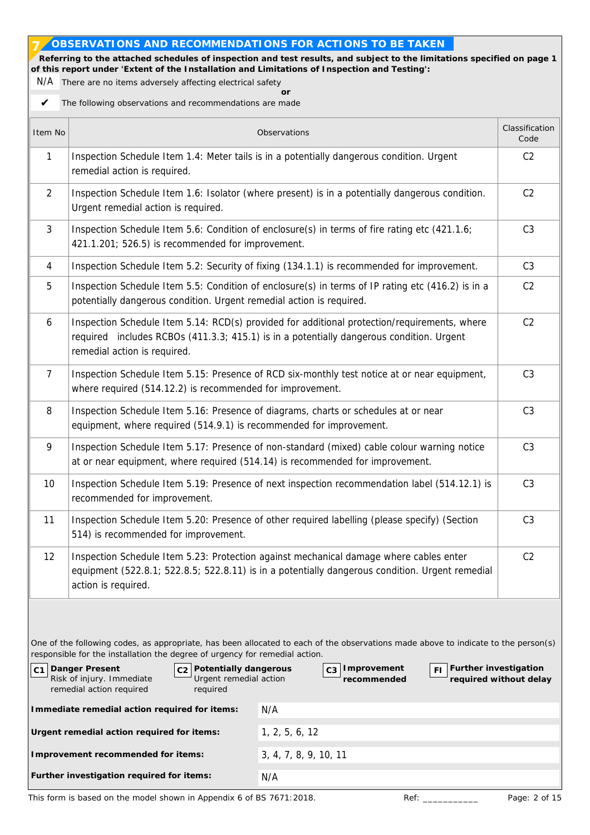## **OBSERVATIONS AND RECOMMENDATIONS FOR ACTIONS TO BE TAKEN**

**' Referring to the attached schedules of inspection and test results, and subject to the limitations specified on page 1 of this report under 'Extent of the Installation and Limitations of Inspection and Testing': 7**

N/A There are no items adversely affecting electrical safety **or**

The following observations and recommendations are made ✔

| Item No        |                                                                                                                                                                                                | Observations                                                                                                                                                                              | Classification<br>Code |  |  |  |  |  |  |  |  |  |  |  |
|----------------|------------------------------------------------------------------------------------------------------------------------------------------------------------------------------------------------|-------------------------------------------------------------------------------------------------------------------------------------------------------------------------------------------|------------------------|--|--|--|--|--|--|--|--|--|--|--|
| $\mathbf{1}$   | remedial action is required.                                                                                                                                                                   | Inspection Schedule Item 1.4: Meter tails is in a potentially dangerous condition. Urgent                                                                                                 | C <sub>2</sub>         |  |  |  |  |  |  |  |  |  |  |  |
| $\overline{2}$ | Urgent remedial action is required.                                                                                                                                                            | Inspection Schedule Item 1.6: Isolator (where present) is in a potentially dangerous condition.                                                                                           | C <sub>2</sub>         |  |  |  |  |  |  |  |  |  |  |  |
| $\mathfrak{Z}$ | 421.1.201; 526.5) is recommended for improvement.                                                                                                                                              | Inspection Schedule Item 5.6: Condition of enclosure(s) in terms of fire rating etc (421.1.6;                                                                                             | C <sub>3</sub>         |  |  |  |  |  |  |  |  |  |  |  |
| 4              |                                                                                                                                                                                                | Inspection Schedule Item 5.2: Security of fixing (134.1.1) is recommended for improvement.                                                                                                | C <sub>3</sub>         |  |  |  |  |  |  |  |  |  |  |  |
| 5              | potentially dangerous condition. Urgent remedial action is required.                                                                                                                           | Inspection Schedule Item 5.5: Condition of enclosure(s) in terms of IP rating etc (416.2) is in a                                                                                         | C <sub>2</sub>         |  |  |  |  |  |  |  |  |  |  |  |
| 6              | remedial action is required.                                                                                                                                                                   | Inspection Schedule Item 5.14: RCD(s) provided for additional protection/requirements, where<br>required includes RCBOs (411.3.3; 415.1) is in a potentially dangerous condition. Urgent  | C <sub>2</sub>         |  |  |  |  |  |  |  |  |  |  |  |
| 7              | where required (514.12.2) is recommended for improvement.                                                                                                                                      | Inspection Schedule Item 5.15: Presence of RCD six-monthly test notice at or near equipment,                                                                                              | C <sub>3</sub>         |  |  |  |  |  |  |  |  |  |  |  |
| 8              | Inspection Schedule Item 5.16: Presence of diagrams, charts or schedules at or near<br>C <sub>3</sub><br>equipment, where required (514.9.1) is recommended for improvement.                   |                                                                                                                                                                                           |                        |  |  |  |  |  |  |  |  |  |  |  |
| 9              | Inspection Schedule Item 5.17: Presence of non-standard (mixed) cable colour warning notice<br>C <sub>3</sub><br>at or near equipment, where required (514.14) is recommended for improvement. |                                                                                                                                                                                           |                        |  |  |  |  |  |  |  |  |  |  |  |
| 10             | recommended for improvement.                                                                                                                                                                   | Inspection Schedule Item 5.19: Presence of next inspection recommendation label (514.12.1) is                                                                                             | C <sub>3</sub>         |  |  |  |  |  |  |  |  |  |  |  |
| 11             | 514) is recommended for improvement.                                                                                                                                                           | Inspection Schedule Item 5.20: Presence of other required labelling (please specify) (Section                                                                                             | C <sub>3</sub>         |  |  |  |  |  |  |  |  |  |  |  |
| 12             | action is required.                                                                                                                                                                            | Inspection Schedule Item 5.23: Protection against mechanical damage where cables enter<br>equipment (522.8.1; 522.8.5; 522.8.11) is in a potentially dangerous condition. Urgent remedial | C <sub>2</sub>         |  |  |  |  |  |  |  |  |  |  |  |
|                | responsible for the installation the degree of urgency for remedial action.                                                                                                                    | One of the following codes, as appropriate, has been allocated to each of the observations made above to indicate to the person(s)                                                        |                        |  |  |  |  |  |  |  |  |  |  |  |
| C <sub>1</sub> | Danger Present<br>Potentially dangerous<br>Risk of injury. Immediate<br>Urgent remedial action<br>remedial action required<br>required                                                         | Further investigation<br>C3   Improvement<br>FI<br>recommended                                                                                                                            | required without delay |  |  |  |  |  |  |  |  |  |  |  |
|                | Immediate remedial action required for items:                                                                                                                                                  | N/A                                                                                                                                                                                       |                        |  |  |  |  |  |  |  |  |  |  |  |
|                | Urgent remedial action required for items:                                                                                                                                                     | 1, 2, 5, 6, 12                                                                                                                                                                            |                        |  |  |  |  |  |  |  |  |  |  |  |
|                | Improvement recommended for items:                                                                                                                                                             | 3, 4, 7, 8, 9, 10, 11                                                                                                                                                                     |                        |  |  |  |  |  |  |  |  |  |  |  |
|                | Further investigation required for items:                                                                                                                                                      | N/A                                                                                                                                                                                       |                        |  |  |  |  |  |  |  |  |  |  |  |

This form is based on the model shown in Appendix 6 of BS 7671:2018. Ref: Page: 2 of 15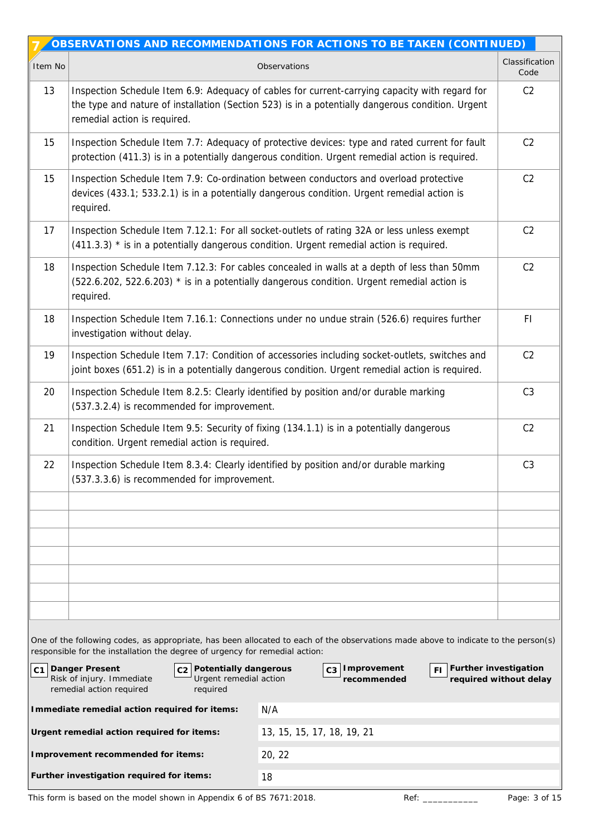|         |                                                                                                                                                                                                    | OBSERVATIONS AND RECOMMENDATIONS FOR ACTIONS TO BE TAKEN (CONTINUED)                                                                                                                                |                        |  |  |  |  |  |  |  |  |  |
|---------|----------------------------------------------------------------------------------------------------------------------------------------------------------------------------------------------------|-----------------------------------------------------------------------------------------------------------------------------------------------------------------------------------------------------|------------------------|--|--|--|--|--|--|--|--|--|
| Item No |                                                                                                                                                                                                    | Observations                                                                                                                                                                                        | Classification<br>Code |  |  |  |  |  |  |  |  |  |
| 13      | remedial action is required.                                                                                                                                                                       | Inspection Schedule Item 6.9: Adequacy of cables for current-carrying capacity with regard for<br>the type and nature of installation (Section 523) is in a potentially dangerous condition. Urgent | C <sub>2</sub>         |  |  |  |  |  |  |  |  |  |
| 15      |                                                                                                                                                                                                    | Inspection Schedule Item 7.7: Adequacy of protective devices: type and rated current for fault<br>protection (411.3) is in a potentially dangerous condition. Urgent remedial action is required.   | C <sub>2</sub>         |  |  |  |  |  |  |  |  |  |
| 15      | required.                                                                                                                                                                                          | Inspection Schedule Item 7.9: Co-ordination between conductors and overload protective<br>devices (433.1; 533.2.1) is in a potentially dangerous condition. Urgent remedial action is               | C2                     |  |  |  |  |  |  |  |  |  |
| 17      |                                                                                                                                                                                                    | Inspection Schedule Item 7.12.1: For all socket-outlets of rating 32A or less unless exempt<br>$(411.3.3)$ * is in a potentially dangerous condition. Urgent remedial action is required.           | C <sub>2</sub>         |  |  |  |  |  |  |  |  |  |
| 18      | required.                                                                                                                                                                                          | Inspection Schedule Item 7.12.3: For cables concealed in walls at a depth of less than 50mm<br>(522.6.202, 522.6.203) * is in a potentially dangerous condition. Urgent remedial action is          | C <sub>2</sub>         |  |  |  |  |  |  |  |  |  |
| 18      | investigation without delay.                                                                                                                                                                       | Inspection Schedule Item 7.16.1: Connections under no undue strain (526.6) requires further                                                                                                         | FI                     |  |  |  |  |  |  |  |  |  |
| 19      | Inspection Schedule Item 7.17: Condition of accessories including socket-outlets, switches and<br>joint boxes (651.2) is in a potentially dangerous condition. Urgent remedial action is required. |                                                                                                                                                                                                     |                        |  |  |  |  |  |  |  |  |  |
| 20      | Inspection Schedule Item 8.2.5: Clearly identified by position and/or durable marking<br>(537.3.2.4) is recommended for improvement.                                                               |                                                                                                                                                                                                     |                        |  |  |  |  |  |  |  |  |  |
| 21      | condition. Urgent remedial action is required.                                                                                                                                                     | Inspection Schedule Item 9.5: Security of fixing (134.1.1) is in a potentially dangerous                                                                                                            | C <sub>2</sub>         |  |  |  |  |  |  |  |  |  |
| 22      | (537.3.3.6) is recommended for improvement.                                                                                                                                                        | Inspection Schedule Item 8.3.4: Clearly identified by position and/or durable marking                                                                                                               | C <sub>3</sub>         |  |  |  |  |  |  |  |  |  |
|         |                                                                                                                                                                                                    |                                                                                                                                                                                                     |                        |  |  |  |  |  |  |  |  |  |
|         |                                                                                                                                                                                                    |                                                                                                                                                                                                     |                        |  |  |  |  |  |  |  |  |  |
|         |                                                                                                                                                                                                    |                                                                                                                                                                                                     |                        |  |  |  |  |  |  |  |  |  |
|         |                                                                                                                                                                                                    |                                                                                                                                                                                                     |                        |  |  |  |  |  |  |  |  |  |
|         |                                                                                                                                                                                                    |                                                                                                                                                                                                     |                        |  |  |  |  |  |  |  |  |  |
|         |                                                                                                                                                                                                    |                                                                                                                                                                                                     |                        |  |  |  |  |  |  |  |  |  |
|         | responsible for the installation the degree of urgency for remedial action:                                                                                                                        | One of the following codes, as appropriate, has been allocated to each of the observations made above to indicate to the person(s)                                                                  |                        |  |  |  |  |  |  |  |  |  |
|         | C1 Danger Present<br>c <sub>2</sub> Potentially dangerous<br>Risk of injury. Immediate<br>Urgent remedial action<br>remedial action required<br>required                                           | Further investigation<br>Improvement<br>FI.<br>recommended                                                                                                                                          | required without delay |  |  |  |  |  |  |  |  |  |
|         | Immediate remedial action required for items:                                                                                                                                                      | N/A                                                                                                                                                                                                 |                        |  |  |  |  |  |  |  |  |  |
|         | Urgent remedial action required for items:                                                                                                                                                         | 13, 15, 15, 17, 18, 19, 21                                                                                                                                                                          |                        |  |  |  |  |  |  |  |  |  |
|         | Improvement recommended for items:                                                                                                                                                                 | 20, 22                                                                                                                                                                                              |                        |  |  |  |  |  |  |  |  |  |
|         | Further investigation required for items:                                                                                                                                                          | 18                                                                                                                                                                                                  |                        |  |  |  |  |  |  |  |  |  |

This form is based on the model shown in Appendix 6 of BS 7671:2018. Ref: \_\_\_\_\_\_\_\_\_\_\_\_\_\_\_\_\_\_\_ Page: 3 of 15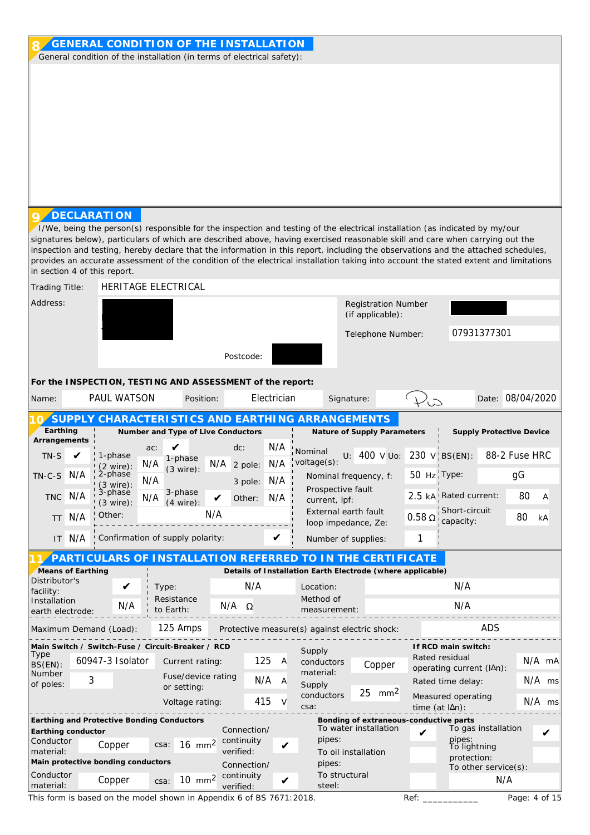| signatures below), particulars of which are described above, having exercised reasonable skill and care when carrying out the<br>inspection and testing, hereby declare that the information in this report, including the observations and the attached schedules,<br>provides an accurate assessment of the condition of the electrical installation taking into account the stated extent and limitations<br>in section 4 of this report.<br>HERITAGE ELECTRICAL<br>Trading Title:<br>Address:<br><b>Registration Number</b><br>(if applicable):<br>07931377301<br>Telephone Number:<br>Postcode:<br>For the INSPECTION, TESTING AND ASSESSMENT of the report:<br>PAUL WATSON<br>Electrician<br>Date: 08/04/2020<br>Position:<br>Signature:<br>$L_{\infty}$<br>Name:<br>SUPPLY CHARACTERI STICS AND EARTHING ARRANGEMENTS<br>Earthing<br>Number and Type of Live Conductors<br>Nature of Supply Parameters<br><b>Supply Protective Device</b><br>Arrangements<br>N/A<br>dc:<br>ac:<br>Nominal<br>88-2 Fuse HRC<br>U: 400 V Uo: 230 V BS(EN):<br>TN-S<br>1-phase<br>1-phase<br>voltage(s):<br>N/A<br>N/A<br>$N/A$ 2 pole:<br>$(2 \text{ wire})$ :<br>$(3 \text{ wire})$ :<br>2-phase<br>50 Hz Type:<br>$\rm g G$<br>$TN-C-S$<br>N/A<br>Nominal frequency, f:<br>N/A<br>N/A<br>3 pole:<br>$(3 \text{ wire})$ :<br>Prospective fault<br>3-phase<br>3-phase<br>80<br>2.5 kA! Rated current:<br>TNC N/A<br>$\overline{A}$<br>N/A<br>N/A<br>Other:<br>current, lpf:<br>$(4 \text{ wire})$ :<br>$(3 \text{ wire})$ :<br>Short-circuit<br>External earth fault<br>N/A<br>Other:<br>N/A<br>$0.58\,\Omega$<br>80<br>kA<br><b>TT</b><br>capacity:<br>loop impedance, Ze:<br>! Confirmation of supply polarity:<br>N/A<br>1<br>IT<br>Number of supplies:<br>PARTICULARS OF INSTALLATION REFERRED TO IN THE CERTIFICATE<br>Means of Earthing<br>Details of Installation Earth Electrode (where applicable)<br>Distributor's<br>N/A<br>N/A<br>V<br>Type:<br>Location:<br>facility:<br>Method of<br>Resistance<br>Installation<br>N/A<br>N/A<br>N/A<br>Ω<br>to Earth:<br>measurement:<br>earth electrode: |
|-----------------------------------------------------------------------------------------------------------------------------------------------------------------------------------------------------------------------------------------------------------------------------------------------------------------------------------------------------------------------------------------------------------------------------------------------------------------------------------------------------------------------------------------------------------------------------------------------------------------------------------------------------------------------------------------------------------------------------------------------------------------------------------------------------------------------------------------------------------------------------------------------------------------------------------------------------------------------------------------------------------------------------------------------------------------------------------------------------------------------------------------------------------------------------------------------------------------------------------------------------------------------------------------------------------------------------------------------------------------------------------------------------------------------------------------------------------------------------------------------------------------------------------------------------------------------------------------------------------------------------------------------------------------------------------------------------------------------------------------------------------------------------------------------------------------------------------------------------------------------------------------------------------------------------------------------------------------------------------------------------------------------------------------------------------------------------------------------|
|                                                                                                                                                                                                                                                                                                                                                                                                                                                                                                                                                                                                                                                                                                                                                                                                                                                                                                                                                                                                                                                                                                                                                                                                                                                                                                                                                                                                                                                                                                                                                                                                                                                                                                                                                                                                                                                                                                                                                                                                                                                                                               |
|                                                                                                                                                                                                                                                                                                                                                                                                                                                                                                                                                                                                                                                                                                                                                                                                                                                                                                                                                                                                                                                                                                                                                                                                                                                                                                                                                                                                                                                                                                                                                                                                                                                                                                                                                                                                                                                                                                                                                                                                                                                                                               |
|                                                                                                                                                                                                                                                                                                                                                                                                                                                                                                                                                                                                                                                                                                                                                                                                                                                                                                                                                                                                                                                                                                                                                                                                                                                                                                                                                                                                                                                                                                                                                                                                                                                                                                                                                                                                                                                                                                                                                                                                                                                                                               |
|                                                                                                                                                                                                                                                                                                                                                                                                                                                                                                                                                                                                                                                                                                                                                                                                                                                                                                                                                                                                                                                                                                                                                                                                                                                                                                                                                                                                                                                                                                                                                                                                                                                                                                                                                                                                                                                                                                                                                                                                                                                                                               |
|                                                                                                                                                                                                                                                                                                                                                                                                                                                                                                                                                                                                                                                                                                                                                                                                                                                                                                                                                                                                                                                                                                                                                                                                                                                                                                                                                                                                                                                                                                                                                                                                                                                                                                                                                                                                                                                                                                                                                                                                                                                                                               |
|                                                                                                                                                                                                                                                                                                                                                                                                                                                                                                                                                                                                                                                                                                                                                                                                                                                                                                                                                                                                                                                                                                                                                                                                                                                                                                                                                                                                                                                                                                                                                                                                                                                                                                                                                                                                                                                                                                                                                                                                                                                                                               |
|                                                                                                                                                                                                                                                                                                                                                                                                                                                                                                                                                                                                                                                                                                                                                                                                                                                                                                                                                                                                                                                                                                                                                                                                                                                                                                                                                                                                                                                                                                                                                                                                                                                                                                                                                                                                                                                                                                                                                                                                                                                                                               |
|                                                                                                                                                                                                                                                                                                                                                                                                                                                                                                                                                                                                                                                                                                                                                                                                                                                                                                                                                                                                                                                                                                                                                                                                                                                                                                                                                                                                                                                                                                                                                                                                                                                                                                                                                                                                                                                                                                                                                                                                                                                                                               |
|                                                                                                                                                                                                                                                                                                                                                                                                                                                                                                                                                                                                                                                                                                                                                                                                                                                                                                                                                                                                                                                                                                                                                                                                                                                                                                                                                                                                                                                                                                                                                                                                                                                                                                                                                                                                                                                                                                                                                                                                                                                                                               |
|                                                                                                                                                                                                                                                                                                                                                                                                                                                                                                                                                                                                                                                                                                                                                                                                                                                                                                                                                                                                                                                                                                                                                                                                                                                                                                                                                                                                                                                                                                                                                                                                                                                                                                                                                                                                                                                                                                                                                                                                                                                                                               |
|                                                                                                                                                                                                                                                                                                                                                                                                                                                                                                                                                                                                                                                                                                                                                                                                                                                                                                                                                                                                                                                                                                                                                                                                                                                                                                                                                                                                                                                                                                                                                                                                                                                                                                                                                                                                                                                                                                                                                                                                                                                                                               |
|                                                                                                                                                                                                                                                                                                                                                                                                                                                                                                                                                                                                                                                                                                                                                                                                                                                                                                                                                                                                                                                                                                                                                                                                                                                                                                                                                                                                                                                                                                                                                                                                                                                                                                                                                                                                                                                                                                                                                                                                                                                                                               |
|                                                                                                                                                                                                                                                                                                                                                                                                                                                                                                                                                                                                                                                                                                                                                                                                                                                                                                                                                                                                                                                                                                                                                                                                                                                                                                                                                                                                                                                                                                                                                                                                                                                                                                                                                                                                                                                                                                                                                                                                                                                                                               |
|                                                                                                                                                                                                                                                                                                                                                                                                                                                                                                                                                                                                                                                                                                                                                                                                                                                                                                                                                                                                                                                                                                                                                                                                                                                                                                                                                                                                                                                                                                                                                                                                                                                                                                                                                                                                                                                                                                                                                                                                                                                                                               |
|                                                                                                                                                                                                                                                                                                                                                                                                                                                                                                                                                                                                                                                                                                                                                                                                                                                                                                                                                                                                                                                                                                                                                                                                                                                                                                                                                                                                                                                                                                                                                                                                                                                                                                                                                                                                                                                                                                                                                                                                                                                                                               |
|                                                                                                                                                                                                                                                                                                                                                                                                                                                                                                                                                                                                                                                                                                                                                                                                                                                                                                                                                                                                                                                                                                                                                                                                                                                                                                                                                                                                                                                                                                                                                                                                                                                                                                                                                                                                                                                                                                                                                                                                                                                                                               |
|                                                                                                                                                                                                                                                                                                                                                                                                                                                                                                                                                                                                                                                                                                                                                                                                                                                                                                                                                                                                                                                                                                                                                                                                                                                                                                                                                                                                                                                                                                                                                                                                                                                                                                                                                                                                                                                                                                                                                                                                                                                                                               |
|                                                                                                                                                                                                                                                                                                                                                                                                                                                                                                                                                                                                                                                                                                                                                                                                                                                                                                                                                                                                                                                                                                                                                                                                                                                                                                                                                                                                                                                                                                                                                                                                                                                                                                                                                                                                                                                                                                                                                                                                                                                                                               |
| 125 Amps<br>ADS<br>Maximum Demand (Load):<br>Protective measure(s) against electric shock:                                                                                                                                                                                                                                                                                                                                                                                                                                                                                                                                                                                                                                                                                                                                                                                                                                                                                                                                                                                                                                                                                                                                                                                                                                                                                                                                                                                                                                                                                                                                                                                                                                                                                                                                                                                                                                                                                                                                                                                                    |
| Main Switch / Switch-Fuse / Circuit-Breaker / RCD<br>If RCD main switch:<br>Supply<br>Type<br>Rated residual<br>N/A mA<br>60947-3 Isolator<br>125<br>$\overline{A}$<br>Current rating:<br>conductors<br>BS(EN):                                                                                                                                                                                                                                                                                                                                                                                                                                                                                                                                                                                                                                                                                                                                                                                                                                                                                                                                                                                                                                                                                                                                                                                                                                                                                                                                                                                                                                                                                                                                                                                                                                                                                                                                                                                                                                                                               |
| Copper<br>operating current (IAn):<br>material:<br>Number<br>Fuse/device rating<br>3<br>N/A<br>N/A ms<br>Rated time delay:<br>- A                                                                                                                                                                                                                                                                                                                                                                                                                                                                                                                                                                                                                                                                                                                                                                                                                                                                                                                                                                                                                                                                                                                                                                                                                                                                                                                                                                                                                                                                                                                                                                                                                                                                                                                                                                                                                                                                                                                                                             |
| of poles:<br>Supply<br>or setting:<br>25<br>mm <sup>2</sup><br>conductors<br>Measured operating<br>415<br>$N/A$ ms<br>Voltage rating:                                                                                                                                                                                                                                                                                                                                                                                                                                                                                                                                                                                                                                                                                                                                                                                                                                                                                                                                                                                                                                                                                                                                                                                                                                                                                                                                                                                                                                                                                                                                                                                                                                                                                                                                                                                                                                                                                                                                                         |
| csa:<br>time (at lAn):<br>Earthing and Protective Bonding Conductors<br>Bonding of extraneous-conductive parts                                                                                                                                                                                                                                                                                                                                                                                                                                                                                                                                                                                                                                                                                                                                                                                                                                                                                                                                                                                                                                                                                                                                                                                                                                                                                                                                                                                                                                                                                                                                                                                                                                                                                                                                                                                                                                                                                                                                                                                |
| To water installation<br>To gas installation<br>Connection/<br>Earthing conductor<br>pipes:<br>pipes:<br>continuity<br>Conductor<br>$16 \text{ mm}^2$<br>Copper<br>csa:<br>✔                                                                                                                                                                                                                                                                                                                                                                                                                                                                                                                                                                                                                                                                                                                                                                                                                                                                                                                                                                                                                                                                                                                                                                                                                                                                                                                                                                                                                                                                                                                                                                                                                                                                                                                                                                                                                                                                                                                  |
|                                                                                                                                                                                                                                                                                                                                                                                                                                                                                                                                                                                                                                                                                                                                                                                                                                                                                                                                                                                                                                                                                                                                                                                                                                                                                                                                                                                                                                                                                                                                                                                                                                                                                                                                                                                                                                                                                                                                                                                                                                                                                               |
| To lightning<br>verified:<br>material:<br>To oil installation<br>protection:<br>Main protective bonding conductors<br>pipes:<br>Connection/<br>To other service(s):                                                                                                                                                                                                                                                                                                                                                                                                                                                                                                                                                                                                                                                                                                                                                                                                                                                                                                                                                                                                                                                                                                                                                                                                                                                                                                                                                                                                                                                                                                                                                                                                                                                                                                                                                                                                                                                                                                                           |

This form is based on the model shown in Appendix 6 of BS 7671:2018. Ref: \_\_\_\_\_\_\_\_\_\_\_\_\_\_\_\_\_\_\_ Page: 4 of 15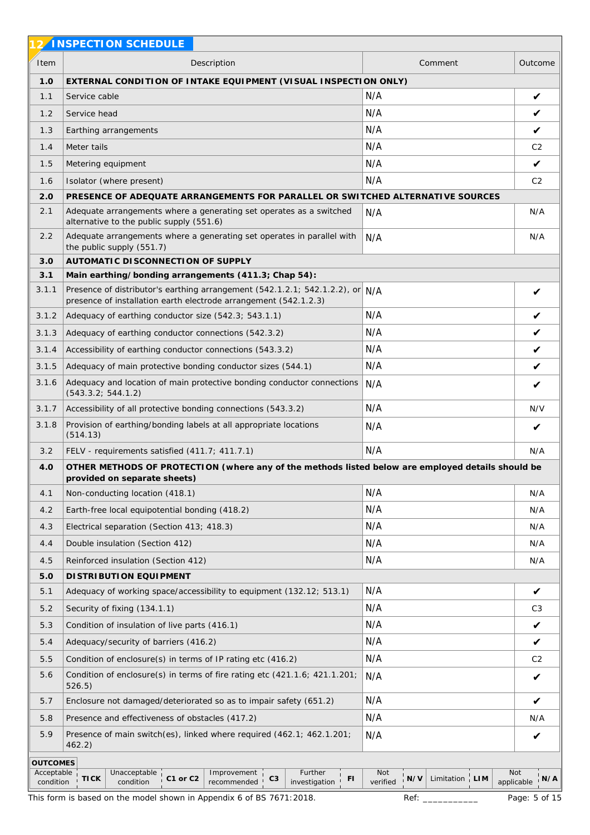|                         | 2 INSPECTION SCHEDULE                                                                                                                             |                                                            |                                 |
|-------------------------|---------------------------------------------------------------------------------------------------------------------------------------------------|------------------------------------------------------------|---------------------------------|
| Item                    | Description                                                                                                                                       | Comment                                                    | Outcome                         |
| 1.0                     | EXTERNAL CONDITION OF INTAKE EQUIPMENT (VISUAL INSPECTION ONLY)                                                                                   |                                                            |                                 |
| 1.1                     | Service cable                                                                                                                                     | N/A                                                        | V                               |
| 1.2                     | Service head                                                                                                                                      | N/A                                                        | V                               |
| 1.3                     | Earthing arrangements                                                                                                                             | N/A                                                        | V                               |
| 1.4                     | Meter tails                                                                                                                                       | N/A                                                        | C <sub>2</sub>                  |
| 1.5                     | Metering equipment                                                                                                                                | N/A                                                        | V                               |
| 1.6                     | Isolator (where present)                                                                                                                          | N/A                                                        | C <sub>2</sub>                  |
| 2.0                     | PRESENCE OF ADEQUATE ARRANGEMENTS FOR PARALLEL OR SWITCHED ALTERNATIVE SOURCES                                                                    |                                                            |                                 |
| 2.1                     | Adequate arrangements where a generating set operates as a switched<br>alternative to the public supply (551.6)                                   | N/A                                                        | N/A                             |
| 2.2                     | Adequate arrangements where a generating set operates in parallel with<br>the public supply (551.7)                                               | N/A                                                        | N/A                             |
| 3.0                     | AUTOMATIC DISCONNECTION OF SUPPLY                                                                                                                 |                                                            |                                 |
| 3.1                     | Main earthing/bonding arrangements (411.3; Chap 54):                                                                                              |                                                            |                                 |
| 3.1.1                   | Presence of distributor's earthing arrangement (542.1.2.1; 542.1.2.2), or N/A<br>presence of installation earth electrode arrangement (542.1.2.3) |                                                            | V                               |
| 3.1.2                   | Adequacy of earthing conductor size (542.3; 543.1.1)                                                                                              | N/A                                                        | V                               |
| 3.1.3                   | Adequacy of earthing conductor connections (542.3.2)                                                                                              | N/A                                                        | V                               |
| 3.1.4                   | Accessibility of earthing conductor connections (543.3.2)                                                                                         | N/A                                                        | $\checkmark$                    |
| 3.1.5                   | Adequacy of main protective bonding conductor sizes (544.1)                                                                                       | N/A                                                        | V                               |
| 3.1.6                   | Adequacy and location of main protective bonding conductor connections<br>(543.3.2; 544.1.2)                                                      | N/A                                                        | V                               |
| 3.1.7                   | Accessibility of all protective bonding connections (543.3.2)                                                                                     | N/A                                                        | N/V                             |
| 3.1.8                   | Provision of earthing/bonding labels at all appropriate locations<br>(514.13)                                                                     | N/A                                                        | V                               |
| 3.2                     | FELV - requirements satisfied (411.7; 411.7.1)                                                                                                    | N/A                                                        | N/A                             |
| 4.0                     | OTHER METHODS OF PROTECTION (where any of the methods listed below are employed details should be<br>provided on separate sheets)                 |                                                            |                                 |
| 4.1                     | Non-conducting location (418.1)                                                                                                                   | N/A                                                        | N/A                             |
| 4.2                     | Earth-free local equipotential bonding (418.2)                                                                                                    | N/A                                                        | N/A                             |
| 4.3                     | Electrical separation (Section 413; 418.3)                                                                                                        | N/A                                                        | N/A                             |
| 4.4                     | Double insulation (Section 412)                                                                                                                   | N/A                                                        | N/A                             |
| 4.5                     | Reinforced insulation (Section 412)                                                                                                               | N/A                                                        | N/A                             |
| 5.0                     | DI STRI BUTI ON EQUI PMENT                                                                                                                        |                                                            |                                 |
| 5.1                     | Adequacy of working space/accessibility to equipment (132.12; 513.1)                                                                              | N/A                                                        | $\checkmark$                    |
| 5.2                     | Security of fixing (134.1.1)                                                                                                                      | N/A                                                        | C <sub>3</sub>                  |
| 5.3                     | Condition of insulation of live parts (416.1)                                                                                                     | N/A                                                        | $\checkmark$                    |
| 5.4                     | Adequacy/security of barriers (416.2)                                                                                                             | N/A                                                        | $\checkmark$                    |
| 5.5                     | Condition of enclosure(s) in terms of IP rating etc (416.2)                                                                                       | N/A                                                        | C <sub>2</sub>                  |
| 5.6                     | Condition of enclosure(s) in terms of fire rating etc (421.1.6; 421.1.201;<br>526.5)                                                              | N/A                                                        | V                               |
| 5.7                     | Enclosure not damaged/deteriorated so as to impair safety (651.2)                                                                                 | N/A                                                        | V                               |
| 5.8                     | Presence and effectiveness of obstacles (417.2)                                                                                                   | N/A                                                        | N/A                             |
| 5.9                     | Presence of main switch(es), linked where required (462.1; 462.1.201;                                                                             | N/A                                                        | V                               |
|                         | 462.2)                                                                                                                                            |                                                            |                                 |
| <b>OUTCOMES</b>         |                                                                                                                                                   |                                                            |                                 |
| Acceptable<br>condition | Further<br>Unacceptable<br>Improvement<br><b>TICK</b><br>C1 or C2<br>C3<br>FI<br>condition<br>investigation<br>recommended                        | Not<br>Limitation $\frac{1}{1}$ LIM<br>$'$ N/V<br>verified | <b>Not</b><br>N/A<br>applicable |
|                         | This form is based on the model shown in Appendix 6 of BS 7671:2018.                                                                              | Ref:                                                       | Page: 5 of 15                   |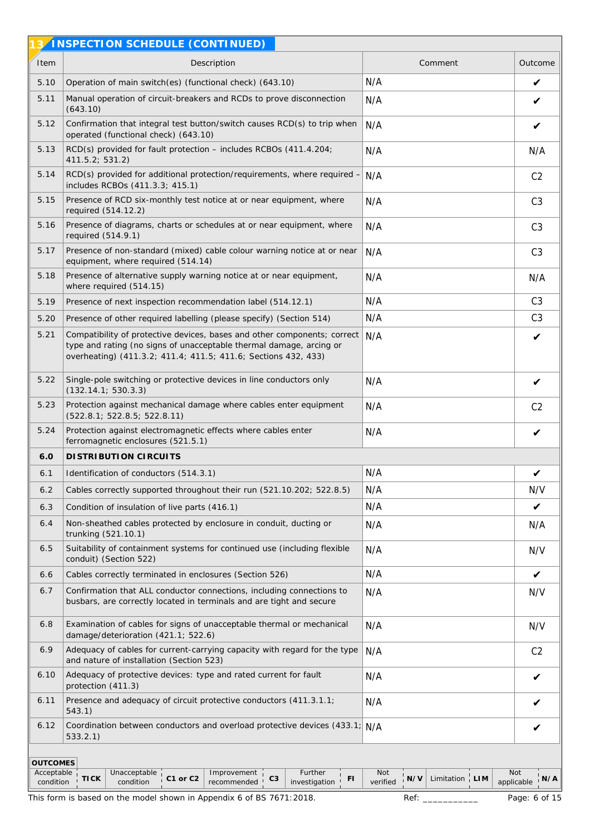|                                            | 3 <sup>1</sup> INSPECTION SCHEDULE (CONTINUED)                                                                                                                                                                    |                                                                    |                                           |
|--------------------------------------------|-------------------------------------------------------------------------------------------------------------------------------------------------------------------------------------------------------------------|--------------------------------------------------------------------|-------------------------------------------|
| Item                                       | Description                                                                                                                                                                                                       | Comment                                                            | Outcome                                   |
| 5.10                                       | Operation of main switch(es) (functional check) (643.10)                                                                                                                                                          | N/A                                                                | V                                         |
| 5.11                                       | Manual operation of circuit-breakers and RCDs to prove disconnection<br>(643.10)                                                                                                                                  | N/A                                                                | V                                         |
| 5.12                                       | Confirmation that integral test button/switch causes RCD(s) to trip when<br>operated (functional check) (643.10)                                                                                                  | N/A                                                                | V                                         |
| 5.13                                       | RCD(s) provided for fault protection - includes RCBOs (411.4.204;<br>411.5.2; 531.2)                                                                                                                              | N/A                                                                | N/A                                       |
| 5.14                                       | RCD(s) provided for additional protection/requirements, where required -<br>includes RCBOs (411.3.3; 415.1)                                                                                                       | N/A                                                                | C <sub>2</sub>                            |
| 5.15                                       | Presence of RCD six-monthly test notice at or near equipment, where<br>required (514.12.2)                                                                                                                        | N/A                                                                | C <sub>3</sub>                            |
| 5.16                                       | Presence of diagrams, charts or schedules at or near equipment, where<br>required (514.9.1)                                                                                                                       | N/A                                                                | C <sub>3</sub>                            |
| 5.17                                       | Presence of non-standard (mixed) cable colour warning notice at or near<br>equipment, where required (514.14)                                                                                                     | N/A                                                                | C <sub>3</sub>                            |
| 5.18                                       | Presence of alternative supply warning notice at or near equipment,<br>where required (514.15)                                                                                                                    | N/A                                                                | N/A                                       |
| 5.19                                       | Presence of next inspection recommendation label (514.12.1)                                                                                                                                                       | N/A                                                                | C <sub>3</sub>                            |
| 5.20                                       | Presence of other required labelling (please specify) (Section 514)                                                                                                                                               | N/A                                                                | C <sub>3</sub>                            |
| 5.21                                       | Compatibility of protective devices, bases and other components; correct<br>type and rating (no signs of unacceptable thermal damage, arcing or<br>overheating) (411.3.2; 411.4; 411.5; 411.6; Sections 432, 433) | N/A                                                                | V                                         |
| 5.22                                       | Single-pole switching or protective devices in line conductors only<br>(132.14.1; 530.3.3)                                                                                                                        | N/A                                                                | V                                         |
| 5.23                                       | Protection against mechanical damage where cables enter equipment<br>(522.8.1; 522.8.5; 522.8.11)                                                                                                                 | N/A                                                                | C <sub>2</sub>                            |
| 5.24                                       | Protection against electromagnetic effects where cables enter<br>ferromagnetic enclosures (521.5.1)                                                                                                               | N/A                                                                | V                                         |
| 6.0                                        | DI STRI BUTI ON CIRCUITS                                                                                                                                                                                          |                                                                    |                                           |
| 6.1                                        | Identification of conductors (514.3.1)                                                                                                                                                                            | N/A                                                                |                                           |
| 6.2                                        | Cables correctly supported throughout their run (521.10.202; 522.8.5)                                                                                                                                             | N/A                                                                | N/V                                       |
| 6.3                                        | Condition of insulation of live parts (416.1)                                                                                                                                                                     | N/A                                                                | V                                         |
| 6.4                                        | Non-sheathed cables protected by enclosure in conduit, ducting or<br>trunking (521.10.1)                                                                                                                          | N/A                                                                | N/A                                       |
| 6.5                                        | Suitability of containment systems for continued use (including flexible<br>conduit) (Section 522)                                                                                                                | N/A                                                                | N/V                                       |
| 6.6                                        | Cables correctly terminated in enclosures (Section 526)                                                                                                                                                           | N/A                                                                | V                                         |
| 6.7                                        | Confirmation that ALL conductor connections, including connections to<br>busbars, are correctly located in terminals and are tight and secure                                                                     | N/A                                                                | N/V                                       |
| 6.8                                        | Examination of cables for signs of unacceptable thermal or mechanical<br>damage/deterioration (421.1; 522.6)                                                                                                      | N/A                                                                | N/V                                       |
| 6.9                                        | Adequacy of cables for current-carrying capacity with regard for the type<br>and nature of installation (Section 523)                                                                                             | N/A                                                                | C <sub>2</sub>                            |
| 6.10                                       | Adequacy of protective devices: type and rated current for fault<br>protection (411.3)                                                                                                                            | N/A                                                                | V                                         |
| 6.11                                       | Presence and adequacy of circuit protective conductors (411.3.1.1;<br>543.1)                                                                                                                                      | N/A                                                                | V                                         |
| 6.12                                       | Coordination between conductors and overload protective devices (433.1; N/A<br>533.2.1)                                                                                                                           |                                                                    | V                                         |
| <b>OUTCOMES</b><br>Acceptable<br>condition | Further<br>Unacceptable<br>Improvement<br><b>TICK</b><br>C1 or C2<br>C3<br>FI<br>condition<br>recommended<br>investigation<br>This form is based on the model shown in Appendix 6 of BS 7671:2018.                | Not<br>$'$ N/V<br>Limitation $\frac{1}{1}$ LIM<br>verified<br>Ref: | Not<br>N/A<br>applicable<br>Page: 6 of 15 |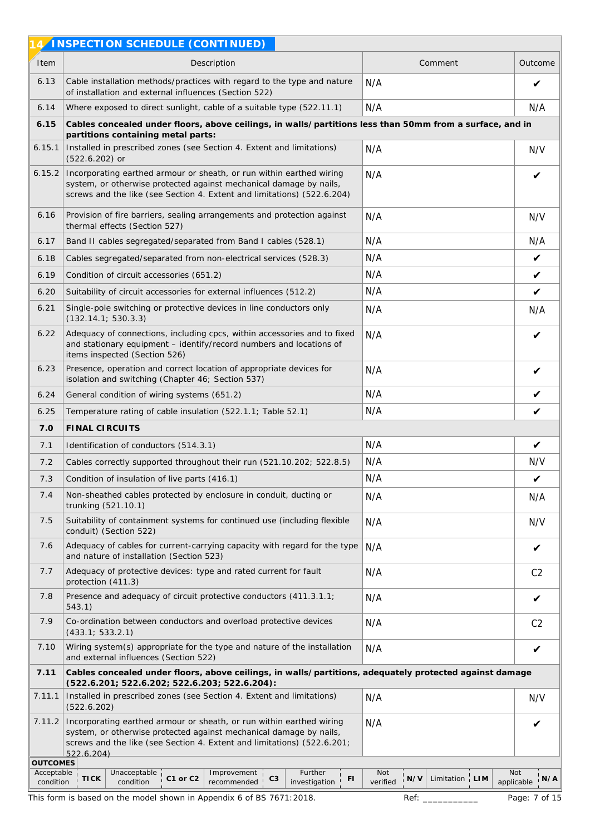|                                                                                                                                                                                                                                                                         | 4/INSPECTION SCHEDULE (CONTINUED)                                                                                                                                                                                     |                                                                |                          |  |  |  |  |  |  |  |  |  |
|-------------------------------------------------------------------------------------------------------------------------------------------------------------------------------------------------------------------------------------------------------------------------|-----------------------------------------------------------------------------------------------------------------------------------------------------------------------------------------------------------------------|----------------------------------------------------------------|--------------------------|--|--|--|--|--|--|--|--|--|
| Item                                                                                                                                                                                                                                                                    | Description                                                                                                                                                                                                           | Comment                                                        | Outcome                  |  |  |  |  |  |  |  |  |  |
| 6.13                                                                                                                                                                                                                                                                    | Cable installation methods/practices with regard to the type and nature<br>of installation and external influences (Section 522)                                                                                      | N/A                                                            | V                        |  |  |  |  |  |  |  |  |  |
| 6.14                                                                                                                                                                                                                                                                    | Where exposed to direct sunlight, cable of a suitable type (522.11.1)                                                                                                                                                 | N/A                                                            | N/A                      |  |  |  |  |  |  |  |  |  |
| 6.15                                                                                                                                                                                                                                                                    | Cables concealed under floors, above ceilings, in walls/partitions less than 50mm from a surface, and in<br>partitions containing metal parts:                                                                        |                                                                |                          |  |  |  |  |  |  |  |  |  |
| 6.15.1                                                                                                                                                                                                                                                                  | Installed in prescribed zones (see Section 4. Extent and limitations)<br>$(522.6.202)$ or                                                                                                                             | N/A                                                            | N/V                      |  |  |  |  |  |  |  |  |  |
| 6.15.2                                                                                                                                                                                                                                                                  | Incorporating earthed armour or sheath, or run within earthed wiring<br>system, or otherwise protected against mechanical damage by nails,<br>screws and the like (see Section 4. Extent and limitations) (522.6.204) | N/A                                                            | ✔                        |  |  |  |  |  |  |  |  |  |
| 6.16                                                                                                                                                                                                                                                                    | Provision of fire barriers, sealing arrangements and protection against<br>thermal effects (Section 527)                                                                                                              | N/A                                                            | N/V                      |  |  |  |  |  |  |  |  |  |
| 6.17                                                                                                                                                                                                                                                                    | Band II cables segregated/separated from Band I cables (528.1)                                                                                                                                                        | N/A                                                            | N/A                      |  |  |  |  |  |  |  |  |  |
| 6.18                                                                                                                                                                                                                                                                    | Cables segregated/separated from non-electrical services (528.3)                                                                                                                                                      | N/A                                                            | V                        |  |  |  |  |  |  |  |  |  |
| 6.19                                                                                                                                                                                                                                                                    | Condition of circuit accessories (651.2)                                                                                                                                                                              | N/A                                                            | $\checkmark$             |  |  |  |  |  |  |  |  |  |
| 6.20                                                                                                                                                                                                                                                                    | Suitability of circuit accessories for external influences (512.2)                                                                                                                                                    | N/A                                                            | $\checkmark$             |  |  |  |  |  |  |  |  |  |
| 6.21                                                                                                                                                                                                                                                                    | Single-pole switching or protective devices in line conductors only<br>(132.14.1; 530.3.3)                                                                                                                            | N/A                                                            | N/A                      |  |  |  |  |  |  |  |  |  |
| 6.22                                                                                                                                                                                                                                                                    | Adequacy of connections, including cpcs, within accessories and to fixed<br>and stationary equipment - identify/record numbers and locations of<br>items inspected (Section 526)                                      | N/A                                                            | V                        |  |  |  |  |  |  |  |  |  |
| 6.23                                                                                                                                                                                                                                                                    | Presence, operation and correct location of appropriate devices for<br>N/A<br>isolation and switching (Chapter 46; Section 537)                                                                                       |                                                                |                          |  |  |  |  |  |  |  |  |  |
| 6.24                                                                                                                                                                                                                                                                    | N/A<br>General condition of wiring systems (651.2)                                                                                                                                                                    |                                                                |                          |  |  |  |  |  |  |  |  |  |
| 6.25                                                                                                                                                                                                                                                                    | N/A<br>Temperature rating of cable insulation (522.1.1; Table 52.1)                                                                                                                                                   |                                                                |                          |  |  |  |  |  |  |  |  |  |
| 7.0                                                                                                                                                                                                                                                                     | FINAL CIRCUITS                                                                                                                                                                                                        |                                                                |                          |  |  |  |  |  |  |  |  |  |
| 7.1                                                                                                                                                                                                                                                                     | Identification of conductors (514.3.1)                                                                                                                                                                                | N/A                                                            | $\checkmark$             |  |  |  |  |  |  |  |  |  |
| 7.2                                                                                                                                                                                                                                                                     | Cables correctly supported throughout their run (521.10.202; 522.8.5)                                                                                                                                                 | N/A                                                            | N/V                      |  |  |  |  |  |  |  |  |  |
| 7.3                                                                                                                                                                                                                                                                     | Condition of insulation of live parts (416.1)                                                                                                                                                                         | N/A                                                            | V                        |  |  |  |  |  |  |  |  |  |
| 7.4                                                                                                                                                                                                                                                                     | Non-sheathed cables protected by enclosure in conduit, ducting or<br>trunking (521.10.1)                                                                                                                              | N/A                                                            | N/A                      |  |  |  |  |  |  |  |  |  |
| 7.5                                                                                                                                                                                                                                                                     | Suitability of containment systems for continued use (including flexible<br>conduit) (Section 522)                                                                                                                    | N/A                                                            | N/V                      |  |  |  |  |  |  |  |  |  |
| 7.6                                                                                                                                                                                                                                                                     | Adequacy of cables for current-carrying capacity with regard for the type<br>and nature of installation (Section 523)                                                                                                 | N/A                                                            | V                        |  |  |  |  |  |  |  |  |  |
| 7.7                                                                                                                                                                                                                                                                     | Adequacy of protective devices: type and rated current for fault<br>protection (411.3)                                                                                                                                | N/A                                                            | C <sub>2</sub>           |  |  |  |  |  |  |  |  |  |
| 7.8                                                                                                                                                                                                                                                                     | Presence and adequacy of circuit protective conductors (411.3.1.1;<br>543.1)                                                                                                                                          | N/A                                                            | V                        |  |  |  |  |  |  |  |  |  |
| 7.9                                                                                                                                                                                                                                                                     | Co-ordination between conductors and overload protective devices<br>(433.1; 533.2.1)                                                                                                                                  | N/A                                                            | C <sub>2</sub>           |  |  |  |  |  |  |  |  |  |
| 7.10                                                                                                                                                                                                                                                                    | Wiring system(s) appropriate for the type and nature of the installation<br>and external influences (Section 522)                                                                                                     | N/A                                                            | $\checkmark$             |  |  |  |  |  |  |  |  |  |
| 7.11                                                                                                                                                                                                                                                                    | Cables concealed under floors, above ceilings, in walls/partitions, adequately protected against damage<br>(522.6.201; 522.6.202; 522.6.203; 522.6.204):                                                              |                                                                |                          |  |  |  |  |  |  |  |  |  |
| 7.11.1                                                                                                                                                                                                                                                                  | Installed in prescribed zones (see Section 4. Extent and limitations)<br>(522.6.202)                                                                                                                                  | N/A                                                            | N/V                      |  |  |  |  |  |  |  |  |  |
| 7.11.2<br>Incorporating earthed armour or sheath, or run within earthed wiring<br>N/A<br>system, or otherwise protected against mechanical damage by nails,<br>screws and the like (see Section 4. Extent and limitations) (522.6.201;<br>522.6.204)<br><b>OUTCOMES</b> |                                                                                                                                                                                                                       |                                                                |                          |  |  |  |  |  |  |  |  |  |
| Acceptable<br>condition                                                                                                                                                                                                                                                 | Further<br>Unacceptable<br>Improvement<br>C <sub>3</sub><br>$\tt TICK$<br>C1 or C2<br>FI<br>condition<br>investigation<br>recommended                                                                                 | Not<br>$'_{1}$ N/V<br>Limitation $\frac{1}{1}$ LIM<br>verified | Not<br>N/A<br>applicable |  |  |  |  |  |  |  |  |  |
|                                                                                                                                                                                                                                                                         | This form is based on the model shown in Appendix 6 of BS 7671:2018.                                                                                                                                                  | Ref:                                                           | Page: 7 of 15            |  |  |  |  |  |  |  |  |  |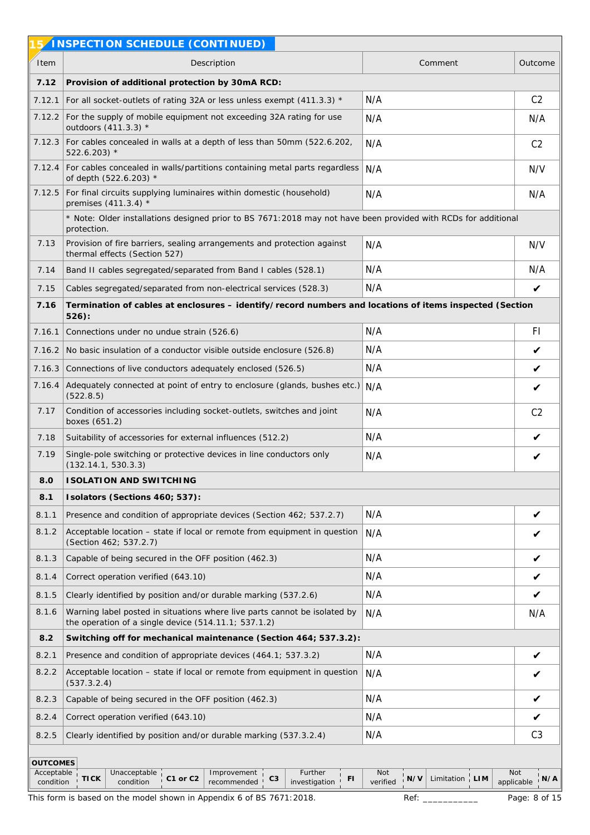|                         | INSPECTION SCHEDULE (CONTINUED)                                                                                                         |                                                            |                                 |
|-------------------------|-----------------------------------------------------------------------------------------------------------------------------------------|------------------------------------------------------------|---------------------------------|
| Item                    | Description                                                                                                                             | Comment                                                    | Outcome                         |
| 7.12                    | Provision of additional protection by 30mA RCD:                                                                                         |                                                            |                                 |
| 7.12.1                  | For all socket-outlets of rating 32A or less unless exempt (411.3.3) *                                                                  | N/A                                                        | C <sub>2</sub>                  |
| 7.12.2                  | For the supply of mobile equipment not exceeding 32A rating for use<br>outdoors $(411.3.3)$ *                                           | N/A                                                        | N/A                             |
| 7.12.3                  | For cables concealed in walls at a depth of less than 50mm (522.6.202,<br>$522.6.203$ *                                                 | N/A                                                        | C <sub>2</sub>                  |
| 7.12.4                  | For cables concealed in walls/partitions containing metal parts regardless<br>of depth (522.6.203) *                                    | N/A                                                        | N/V                             |
| 7.12.5                  | For final circuits supplying luminaires within domestic (household)<br>premises $(411.3.4)$ *                                           | N/A                                                        | N/A                             |
|                         | * Note: Older installations designed prior to BS 7671:2018 may not have been provided with RCDs for additional<br>protection.           |                                                            |                                 |
| 7.13                    | Provision of fire barriers, sealing arrangements and protection against<br>thermal effects (Section 527)                                | N/A                                                        | N/V                             |
| 7.14                    | Band II cables segregated/separated from Band I cables (528.1)                                                                          | N/A                                                        | N/A                             |
| 7.15                    | Cables segregated/separated from non-electrical services (528.3)                                                                        | N/A                                                        | V                               |
| 7.16                    | Termination of cables at enclosures - identify/record numbers and locations of items inspected (Section<br>$526$ :                      |                                                            |                                 |
| 7.16.1                  | Connections under no undue strain (526.6)                                                                                               | N/A                                                        | F1                              |
| 7.16.2                  | No basic insulation of a conductor visible outside enclosure (526.8)                                                                    | N/A                                                        | $\checkmark$                    |
| 7.16.3                  | Connections of live conductors adequately enclosed (526.5)                                                                              | N/A                                                        | V                               |
| 7.16.4                  | Adequately connected at point of entry to enclosure (glands, bushes etc.) N/A<br>(522.8.5)                                              |                                                            | $\checkmark$                    |
| 7.17                    | Condition of accessories including socket-outlets, switches and joint<br>boxes (651.2)                                                  | N/A                                                        | C <sub>2</sub>                  |
| 7.18                    | Suitability of accessories for external influences (512.2)                                                                              | N/A                                                        | V                               |
| 7.19                    | Single-pole switching or protective devices in line conductors only<br>(132.14.1, 530.3.3)                                              | N/A                                                        | V                               |
| 8.0                     | <b>ISOLATION AND SWITCHING</b>                                                                                                          |                                                            |                                 |
| 8.1                     | Isolators (Sections 460; 537):                                                                                                          |                                                            |                                 |
| 8.1.1                   | Presence and condition of appropriate devices (Section 462; 537.2.7)                                                                    | N/A                                                        | V                               |
| 8.1.2                   | Acceptable location - state if local or remote from equipment in question<br>(Section 462; 537.2.7)                                     | N/A                                                        | V                               |
| 8.1.3                   | Capable of being secured in the OFF position (462.3)                                                                                    | N/A                                                        | V                               |
| 8.1.4                   | Correct operation verified (643.10)                                                                                                     | N/A                                                        | V                               |
| 8.1.5                   | Clearly identified by position and/or durable marking (537.2.6)                                                                         | N/A                                                        | V                               |
| 8.1.6                   | Warning label posted in situations where live parts cannot be isolated by<br>the operation of a single device $(514.11.1; 537.1.2)$     | N/A                                                        | N/A                             |
| 8.2                     | Switching off for mechanical maintenance (Section 464; 537.3.2):                                                                        |                                                            |                                 |
| 8.2.1                   | Presence and condition of appropriate devices (464.1; 537.3.2)                                                                          | N/A                                                        | $\checkmark$                    |
| 8.2.2                   | Acceptable location - state if local or remote from equipment in question<br>(537.3.2.4)                                                | N/A                                                        | V                               |
| 8.2.3                   | Capable of being secured in the OFF position (462.3)                                                                                    | N/A                                                        | V                               |
| 8.2.4                   | Correct operation verified (643.10)                                                                                                     | N/A                                                        | V                               |
| 8.2.5                   | Clearly identified by position and/or durable marking (537.3.2.4)                                                                       | N/A                                                        | C <sub>3</sub>                  |
| <b>OUTCOMES</b>         |                                                                                                                                         |                                                            |                                 |
| Acceptable<br>condition | Further<br>Unacceptable<br>Improvement<br><b>TICK</b><br>C1 or C2<br>C <sub>3</sub><br>FI.<br>condition<br>recommended<br>investigation | Not<br>Limitation $\frac{1}{1}$ LIM<br>$'$ N/V<br>verified | <b>Not</b><br>N/A<br>applicable |
|                         | This form is based on the model shown in Appendix 6 of BS 7671:2018.                                                                    | Ref:                                                       | Page: 8 of 15                   |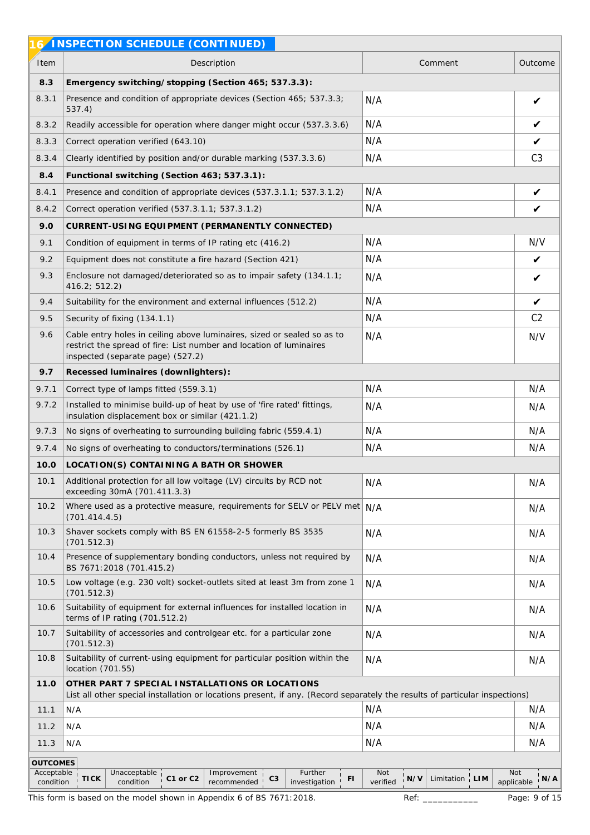|                         | INSPECTION SCHEDULE (CONTINUED)                                                                                                                                                     |                                                        |                                 |
|-------------------------|-------------------------------------------------------------------------------------------------------------------------------------------------------------------------------------|--------------------------------------------------------|---------------------------------|
| Item                    | Description                                                                                                                                                                         | Comment                                                | Outcome                         |
| 8.3                     | Emergency switching/stopping (Section 465; 537.3.3):                                                                                                                                |                                                        |                                 |
| 8.3.1                   | Presence and condition of appropriate devices (Section 465; 537.3.3;<br>537.4)                                                                                                      | N/A                                                    | $\checkmark$                    |
| 8.3.2                   | Readily accessible for operation where danger might occur (537.3.3.6)                                                                                                               | N/A                                                    | V                               |
| 8.3.3                   | Correct operation verified (643.10)                                                                                                                                                 | N/A                                                    | V                               |
| 8.3.4                   | Clearly identified by position and/or durable marking (537.3.3.6)                                                                                                                   | N/A                                                    | C <sub>3</sub>                  |
| 8.4                     | Functional switching (Section 463; 537.3.1):                                                                                                                                        |                                                        |                                 |
| 8.4.1                   | Presence and condition of appropriate devices (537.3.1.1; 537.3.1.2)                                                                                                                | N/A                                                    | $\checkmark$                    |
| 8.4.2                   | Correct operation verified (537.3.1.1; 537.3.1.2)                                                                                                                                   | N/A                                                    | V                               |
| 9.0                     | CURRENT-USING EQUIPMENT (PERMANENTLY CONNECTED)                                                                                                                                     |                                                        |                                 |
| 9.1                     | Condition of equipment in terms of IP rating etc (416.2)                                                                                                                            | N/A                                                    | N/V                             |
| 9.2                     | Equipment does not constitute a fire hazard (Section 421)                                                                                                                           | N/A                                                    | V                               |
| 9.3                     | Enclosure not damaged/deteriorated so as to impair safety (134.1.1;<br>416.2; 512.2)                                                                                                | N/A                                                    | V                               |
| 9.4                     | Suitability for the environment and external influences (512.2)                                                                                                                     | N/A                                                    | $\checkmark$                    |
| 9.5                     | Security of fixing (134.1.1)                                                                                                                                                        | N/A                                                    | C <sub>2</sub>                  |
| 9.6                     | Cable entry holes in ceiling above luminaires, sized or sealed so as to<br>restrict the spread of fire: List number and location of luminaires<br>inspected (separate page) (527.2) | N/A                                                    | N/V                             |
| 9.7                     | Recessed luminaires (downlighters):                                                                                                                                                 |                                                        |                                 |
| 9.7.1                   | Correct type of lamps fitted (559.3.1)                                                                                                                                              | N/A                                                    | N/A                             |
| 9.7.2                   | Installed to minimise build-up of heat by use of 'fire rated' fittings,<br>insulation displacement box or similar (421.1.2)                                                         | N/A                                                    | N/A                             |
| 9.7.3                   | No signs of overheating to surrounding building fabric (559.4.1)                                                                                                                    | N/A                                                    | N/A                             |
| 9.7.4                   | No signs of overheating to conductors/terminations (526.1)                                                                                                                          | N/A                                                    | N/A                             |
| 10.0                    | LOCATION(S) CONTAINING A BATH OR SHOWER                                                                                                                                             |                                                        |                                 |
| 10.1                    | Additional protection for all low voltage (LV) circuits by RCD not<br>exceeding 30mA (701.411.3.3)                                                                                  | N/A                                                    | N/A                             |
| 10.2                    | Where used as a protective measure, requirements for SELV or PELV met N/A<br>(701.414.4.5)                                                                                          |                                                        | N/A                             |
| 10.3                    | Shaver sockets comply with BS EN 61558-2-5 formerly BS 3535<br>(701.512.3)                                                                                                          | N/A                                                    | N/A                             |
| 10.4                    | Presence of supplementary bonding conductors, unless not required by<br>BS 7671:2018 (701.415.2)                                                                                    | N/A                                                    | N/A                             |
| 10.5                    | Low voltage (e.g. 230 volt) socket-outlets sited at least 3m from zone 1<br>(701.512.3)                                                                                             | N/A                                                    | N/A                             |
| 10.6                    | Suitability of equipment for external influences for installed location in<br>terms of IP rating (701.512.2)                                                                        | N/A                                                    | N/A                             |
| 10.7                    | Suitability of accessories and controlgear etc. for a particular zone<br>(701.512.3)                                                                                                | N/A                                                    | N/A                             |
| 10.8                    | Suitability of current-using equipment for particular position within the<br>location (701.55)                                                                                      | N/A                                                    | N/A                             |
| 11.0                    | OTHER PART 7 SPECIAL INSTALLATIONS OR LOCATIONS<br>List all other special installation or locations present, if any. (Record separately the results of particular inspections)      |                                                        |                                 |
| 11.1                    | N/A                                                                                                                                                                                 | N/A                                                    | N/A                             |
| 11.2                    | N/A                                                                                                                                                                                 | N/A                                                    | N/A                             |
| 11.3                    | N/A                                                                                                                                                                                 | N/A                                                    | N/A                             |
| <b>OUTCOMES</b>         |                                                                                                                                                                                     |                                                        |                                 |
| Acceptable<br>condition | Further<br>Unacceptable<br>Improvement<br><b>TICK</b><br>C1 or C2<br>C <sub>3</sub><br>FI<br>condition<br>recommended<br>investigation                                              | Not<br>Limitation $\frac{1}{1}$ LIM<br>N/V<br>verified | <b>Not</b><br>N/A<br>applicable |
|                         | This form is based on the model shown in Appendix 6 of BS 7671:2018.                                                                                                                | Ref:                                                   | Page: 9 of 15                   |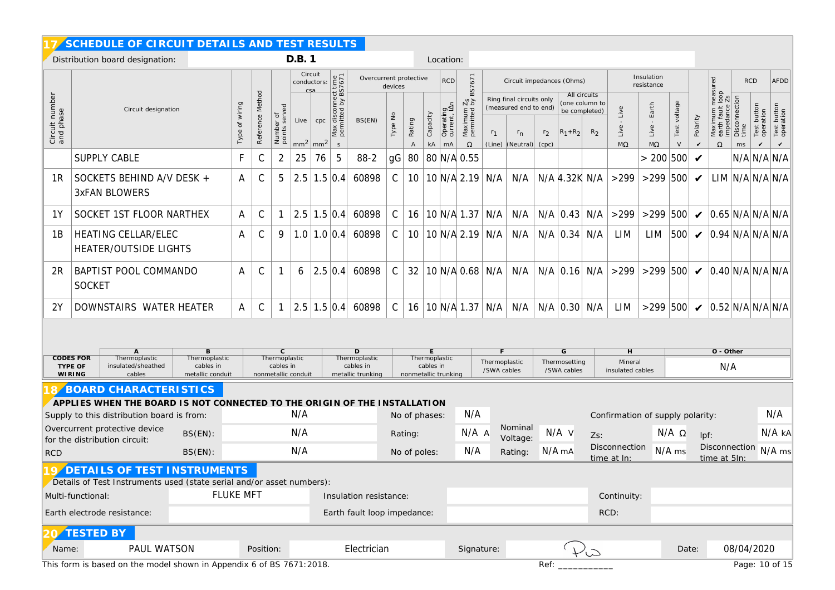|                             | SCHEDULE OF CIRCUIT DETAILS AND TEST RESULTS                                                                                                                                                                                                                                                                   |                   |                     |                            |                             |                               |                                                           |                                |                                                                                  |                       |                |                                 |                                                              |                                   |                                                                                           |                         |                                   |                                                                   |                                  |                                     |                        |                            |                                                                                                                                                                                         |                         |                                          |                                          |
|-----------------------------|----------------------------------------------------------------------------------------------------------------------------------------------------------------------------------------------------------------------------------------------------------------------------------------------------------------|-------------------|---------------------|----------------------------|-----------------------------|-------------------------------|-----------------------------------------------------------|--------------------------------|----------------------------------------------------------------------------------|-----------------------|----------------|---------------------------------|--------------------------------------------------------------|-----------------------------------|-------------------------------------------------------------------------------------------|-------------------------|-----------------------------------|-------------------------------------------------------------------|----------------------------------|-------------------------------------|------------------------|----------------------------|-----------------------------------------------------------------------------------------------------------------------------------------------------------------------------------------|-------------------------|------------------------------------------|------------------------------------------|
|                             | Distribution board designation:                                                                                                                                                                                                                                                                                |                   |                     |                            | D.B. 1                      |                               |                                                           |                                |                                                                                  |                       |                | Location:                       |                                                              |                                   |                                                                                           |                         |                                   |                                                                   |                                  |                                     |                        |                            |                                                                                                                                                                                         |                         |                                          |                                          |
|                             |                                                                                                                                                                                                                                                                                                                |                   |                     |                            |                             |                               |                                                           |                                | Circuit<br>Overcurrent protective<br><b>RCD</b><br>conductors:<br>devices<br>csa |                       |                |                                 |                                                              |                                   | Circuit impedances (Ohms)                                                                 |                         |                                   | Insulation<br>resistance                                          |                                  | ured                                | <b>RCD</b>             |                            | AFDD                                                                                                                                                                                    |                         |                                          |                                          |
| Circuit number<br>and phase | Circuit designation                                                                                                                                                                                                                                                                                            | of wiring<br>Type | Method<br>Reference | Number of<br>points served | Live<br>mm <sup>2</sup>     | cpc<br>$\mid$ mm <sup>2</sup> | Max disconnect time<br>permitted by BS7671<br>$\mathsf S$ | BS(EN)                         | Type No                                                                          | Rating<br>$\mathsf A$ | Capacity<br>kA | Operating<br>current, IAn<br>mA | BS7671<br>$\frac{2s}{d}$<br>Maximum<br>permitted<br>$\Omega$ | r <sub>1</sub><br>(Line)          | Ring final circuits only<br>(measured end to end)<br>$r_{n}$<br>$\vert$ (Neutral) $\vert$ | r <sub>2</sub><br>(cpc) | $R_1 + R_2$                       | All circuits<br>(one column to<br>be completed)<br>R <sub>2</sub> | Live<br>Live<br>$M\Omega$        | Earth<br>Live<br>$M\Omega$          | Test voltage<br>$\vee$ | Polarity<br>$\checkmark$   | $\begin{array}{c}\n\text{meas} \\ 1 \text{ loop} \\ \hline\n\vdots \\ \hline\n25\n\end{array}$<br>Maximum meas<br>earth fault loop<br>impedance Zs<br>Disconnection<br>time<br>$\Omega$ | ms                      | Test button<br>operation<br>$\checkmark$ | Test button<br>operation<br>$\checkmark$ |
|                             | <b>SUPPLY CABLE</b>                                                                                                                                                                                                                                                                                            | F                 | С                   | $\overline{2}$             | 25                          | 76                            | 5                                                         | $88-2$                         | gG                                                                               | 80                    |                |                                 | 80 N/A 0.55                                                  |                                   |                                                                                           |                         |                                   |                                                                   |                                  | > 200 500                           |                        | $\boldsymbol{\mathcal{U}}$ |                                                                                                                                                                                         |                         |                                          | N/A N/A N/A                              |
| 1R                          | SOCKETS BEHIND A/V DESK +<br><b>3xFAN BLOWERS</b>                                                                                                                                                                                                                                                              | A                 | $\mathsf C$         | 5                          |                             | $2.5$ 1.5 0.4                 |                                                           | 60898                          | $\mathsf{C}$                                                                     | 10                    |                |                                 | 10 N/A 2.19                                                  | N/A                               | N/A                                                                                       |                         | N/A 4.32K N/A                     |                                                                   | >299                             | $>299$ 500                          |                        | $\boldsymbol{\mathcal{U}}$ |                                                                                                                                                                                         | $LIM$ $N/A$ $N/A$ $N/A$ |                                          |                                          |
| 1Y                          | SOCKET 1ST FLOOR NARTHEX                                                                                                                                                                                                                                                                                       | A                 | $\mathsf C$         |                            |                             | $2.5$ 1.5 0.4                 |                                                           | 60898                          | $\mathsf{C}$                                                                     | 16                    |                |                                 | 10 N/A 1.37                                                  | N/A                               | N/A                                                                                       |                         | $N/A$ 0.43                        | N/A                                                               | >299                             | $>299$ 500                          |                        | $\checkmark$               |                                                                                                                                                                                         | $0.65$ N/A N/A N/A      |                                          |                                          |
| 1B                          | HEATING CELLAR/ELEC<br>HEATER/OUTSIDE LIGHTS                                                                                                                                                                                                                                                                   | Α                 | C                   | 9                          |                             | $1.0$   $1.0$   $0.4$         |                                                           | 60898                          | $\mathsf{C}$                                                                     | 10                    |                |                                 | 10 N/A 2.19                                                  | N/A                               | N/A                                                                                       |                         | $N/A$ 0.34                        | N/A                                                               | LIM                              | LIM                                 | 500                    |                            | $\vee$ 0.94 N/A N/A N/A                                                                                                                                                                 |                         |                                          |                                          |
| 2R                          | <b>BAPTIST POOL COMMANDO</b><br><b>SOCKET</b>                                                                                                                                                                                                                                                                  | A                 | C                   |                            | 6                           | 2.5 0.4                       |                                                           | 60898                          | $\mathsf{C}$                                                                     | 32                    |                |                                 | 10 N/A 0.68 N/A                                              |                                   | N/A                                                                                       |                         |                                   |                                                                   | $N/A$ 0.16 $N/A$ >299            | >299 500 $\bigvee$ 0.40 N/A N/A N/A |                        |                            |                                                                                                                                                                                         |                         |                                          |                                          |
| 2Y                          | DOWNSTAIRS WATER HEATER                                                                                                                                                                                                                                                                                        | A                 | C                   |                            |                             | $2.5$ 1.5 0.4                 |                                                           | 60898                          | $\mathsf{C}$                                                                     | 16                    |                |                                 | 10 N/A 1.37                                                  | N/A                               | N/A                                                                                       |                         | $N/A$ 0.30                        | N/A                                                               | LIM                              | $>299$ 500                          |                        | $\boldsymbol{\nu}$         | 0.52 N/A N/A N/A                                                                                                                                                                        |                         |                                          |                                          |
|                             | B<br>$\mathsf{C}$<br>$\mathsf{D}$<br>$\overline{A}$<br><b>CODES FOR</b><br>Thermoplastic<br>Thermoplastic<br>Thermoplastic<br>Thermoplastic<br>TYPE OF<br>insulated/sheathed<br>cables in<br>cables in<br>cables in<br><b>WIRING</b><br>cables<br>metallic conduit<br>nonmetallic conduit<br>metallic trunking |                   |                     |                            |                             |                               |                                                           |                                |                                                                                  |                       |                |                                 | nonmetallic trunking                                         | E<br>Thermoplastic<br>/SWA cables |                                                                                           |                         | G<br>Thermosetting<br>/SWA cables |                                                                   | H<br>Mineral<br>insulated cables |                                     |                        |                            | O - Other<br>N/A                                                                                                                                                                        |                         |                                          |                                          |
|                             | BOARD CHARACTERISTICS<br>APPLIES WHEN THE BOARD IS NOT CONNECTED TO<br>Supply to this distribution board is from:                                                                                                                                                                                              |                   |                     |                            | N/A                         |                               |                                                           | THE ORIGIN OF THE INSTALLATION |                                                                                  | No of phases:         |                |                                 | N/A                                                          |                                   |                                                                                           |                         |                                   |                                                                   |                                  | Confirmation of supply polarity:    |                        |                            |                                                                                                                                                                                         |                         |                                          | N/A                                      |
|                             | Overcurrent protective device<br>$BS(EN)$ :<br>for the distribution circuit:                                                                                                                                                                                                                                   |                   |                     |                            | N/A                         |                               |                                                           |                                |                                                                                  | Rating:               |                |                                 | N/A A                                                        |                                   | Nominal<br>Voltage:                                                                       |                         | N/A v                             | $Zs$ :                                                            |                                  |                                     | $N/A$ $\Omega$         | $lpf$ :                    |                                                                                                                                                                                         |                         |                                          | N/A ka                                   |
| <b>RCD</b>                  | BS(EN):                                                                                                                                                                                                                                                                                                        |                   |                     |                            | N/A                         |                               |                                                           |                                |                                                                                  | No of poles:          |                |                                 | N/A                                                          |                                   | Rating:                                                                                   |                         | N/A <sub>mA</sub>                 |                                                                   | Disconnection<br>time at In:     |                                     | N/A ms                 |                            | Disconnection<br>time at 5ln:                                                                                                                                                           |                         |                                          | $N/A$ ms                                 |
|                             | DETAILS OF TEST INSTRUMENTS<br>Details of Test Instruments used (state serial and/or asset numbers):                                                                                                                                                                                                           |                   |                     |                            |                             |                               |                                                           |                                |                                                                                  |                       |                |                                 |                                                              |                                   |                                                                                           |                         |                                   |                                                                   |                                  |                                     |                        |                            |                                                                                                                                                                                         |                         |                                          |                                          |
|                             | Multi-functional:                                                                                                                                                                                                                                                                                              | <b>FLUKE MFT</b>  |                     |                            |                             |                               |                                                           | Insulation resistance:         |                                                                                  |                       |                |                                 |                                                              |                                   |                                                                                           |                         |                                   |                                                                   | Continuity:                      |                                     |                        |                            |                                                                                                                                                                                         |                         |                                          |                                          |
|                             | Earth electrode resistance:                                                                                                                                                                                                                                                                                    |                   |                     |                            | Earth fault loop impedance: |                               |                                                           |                                |                                                                                  |                       |                |                                 |                                                              |                                   |                                                                                           | RCD:                    |                                   |                                                                   |                                  |                                     |                        |                            |                                                                                                                                                                                         |                         |                                          |                                          |
| Name:                       | <b>TESTED BY</b><br>PAUL WATSON                                                                                                                                                                                                                                                                                |                   | Position:           |                            |                             |                               |                                                           | Electrician                    |                                                                                  |                       |                |                                 | Signature:                                                   |                                   |                                                                                           |                         |                                   | $L\rightarrow$                                                    |                                  |                                     | Date:                  |                            |                                                                                                                                                                                         | 08/04/2020              |                                          |                                          |
|                             | This form is based on the model shown in Appendix 6 of BS 7671:2018.                                                                                                                                                                                                                                           |                   |                     |                            |                             |                               |                                                           |                                |                                                                                  |                       |                |                                 |                                                              |                                   |                                                                                           | Ref:                    |                                   |                                                                   |                                  |                                     |                        |                            |                                                                                                                                                                                         |                         |                                          | Page: 10 of 15                           |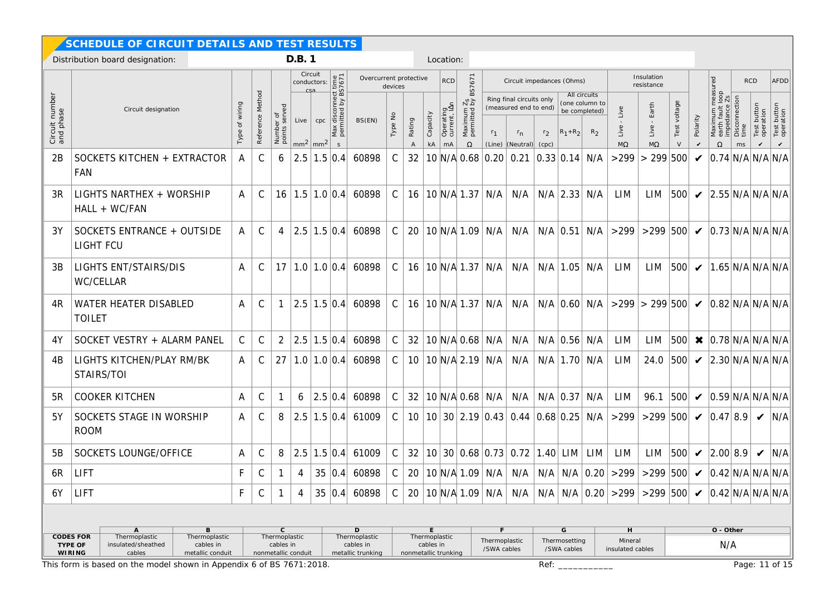|                             | SCHEDULE OF CIRCUIT DETAILS AND TEST RESULTS                                                                                                                                                                                           |                     |                  |                                        |        |                               |                                                           |                               |               |                                                |                            |                                 |                                                      |                              |                                                                           |                         |                              |                                                                   |                             |                                                        |                        |                            |                                                        |                             |                                          |                                          |  |  |
|-----------------------------|----------------------------------------------------------------------------------------------------------------------------------------------------------------------------------------------------------------------------------------|---------------------|------------------|----------------------------------------|--------|-------------------------------|-----------------------------------------------------------|-------------------------------|---------------|------------------------------------------------|----------------------------|---------------------------------|------------------------------------------------------|------------------------------|---------------------------------------------------------------------------|-------------------------|------------------------------|-------------------------------------------------------------------|-----------------------------|--------------------------------------------------------|------------------------|----------------------------|--------------------------------------------------------|-----------------------------|------------------------------------------|------------------------------------------|--|--|
|                             | Distribution board designation:                                                                                                                                                                                                        |                     |                  |                                        | D.B. 1 |                               |                                                           |                               |               |                                                |                            | Location:                       |                                                      |                              |                                                                           |                         |                              |                                                                   |                             |                                                        |                        |                            |                                                        |                             |                                          |                                          |  |  |
|                             |                                                                                                                                                                                                                                        |                     |                  |                                        |        | Circuit<br>conductors:<br>csa |                                                           |                               | devices       | BS7671<br>Overcurrent protective<br><b>RCD</b> |                            |                                 |                                                      |                              | Circuit impedances (Ohms)                                                 |                         |                              |                                                                   |                             | Insulation<br>resistance                               |                        |                            | measured<br>t loop<br>$\frac{1}{2}$ Zs                 |                             | <b>RCD</b>                               | <b>AFDD</b>                              |  |  |
| Circuit number<br>and phase | Circuit designation                                                                                                                                                                                                                    | wiring<br>ð<br>Type | Reference Method | er of<br>served<br>Number<br>points se | Live   | cpc<br>$mm2$ mm <sup>2</sup>  | Max disconnect time<br>permitted by BS7671<br>$\mathsf S$ | BS(EN)                        | Type No       | Rating<br>$\overline{A}$                       | Capacity<br>kA             | Operating<br>current, IAn<br>mA | $\frac{7s}{2}$<br>Maximum<br>permitted I<br>$\Omega$ | r <sub>1</sub><br>(Line)     | Ring final circuits only<br>(measured end to end)<br>$r_{n}$<br>(Neutral) | r <sub>2</sub><br>(cpc) | $ R_1 + R_2 $                | All circuits<br>(one column to<br>be completed)<br>R <sub>2</sub> | Live<br>Live<br>$M\Omega$   | Earth<br>Live<br>$M\Omega$                             | Test voltage<br>$\vee$ | Polarity<br>V              | Maximum m<br>earth fault lo<br>impedance 2<br>$\Omega$ | Disconnection<br>time<br>ms | Test button<br>operation<br>$\checkmark$ | Test button<br>operation<br>$\checkmark$ |  |  |
| 2B                          | SOCKETS KITCHEN + EXTRACTOR<br>FAN                                                                                                                                                                                                     | A                   | C                | 6                                      |        | $2.5$ 1.5 0.4                 |                                                           | 60898                         | $\mathsf C$   | 32                                             |                            |                                 | 10 N/A 0.68                                          | 0.20                         | 0.21                                                                      | 0.33 0.14               |                              | N/A                                                               | >299                        | $\geq$                                                 | 299 500                | $\boldsymbol{\mathcal{U}}$ | 0.74 N/A N/A N/A                                       |                             |                                          |                                          |  |  |
| 3R                          | LIGHTS NARTHEX + WORSHIP<br>HALL + WC/FAN                                                                                                                                                                                              | A                   | C                | 16                                     |        | $1.5$   $1.0$   $0.4$         |                                                           | 60898                         | $\mathcal{C}$ | 16                                             |                            |                                 | 10 N/A 1.37                                          | N/A                          | N/A                                                                       |                         | $N/A$ 2.33 $N/A$             |                                                                   | LIM                         | LIM                                                    | 500                    | $\boldsymbol{\mathcal{U}}$ | 2.55 N/A N/A N/A                                       |                             |                                          |                                          |  |  |
| 3Y                          | SOCKETS ENTRANCE + OUTSIDE<br>LIGHT FCU                                                                                                                                                                                                | A                   | $\mathsf C$      | 4                                      |        | $2.5$ 1.5 0.4                 |                                                           | 60898                         | $\mathsf{C}$  | 20                                             |                            |                                 | 10 N/A 1.09                                          | N/A                          | N/A                                                                       |                         | $N/A$ 0.51 $N/A$             |                                                                   | >299                        | >299 500 $\checkmark$ 0.73 N/A N/A N/A                 |                        |                            |                                                        |                             |                                          |                                          |  |  |
| 3B                          | LIGHTS ENT/STAIRS/DIS<br>WC/CELLAR                                                                                                                                                                                                     | A                   | C                | 17                                     |        |                               |                                                           | $1.0$   $1.0$   $0.4$   60898 | $\mathsf{C}$  | 16                                             |                            |                                 | 10 N/A 1.37                                          | N/A                          | N/A                                                                       |                         | $N/A$ 1.05 N/A               |                                                                   | <b>LIM</b>                  | LIM                                                    |                        |                            | $ 500 $ $\checkmark$ $ 1.65 N/A N/A N/A$               |                             |                                          |                                          |  |  |
| 4R                          | WATER HEATER DISABLED<br><b>TOILET</b>                                                                                                                                                                                                 | A                   | C                |                                        |        | $2.5$ 1.5 0.4                 |                                                           | 60898                         | $\mathsf C$   | 16                                             |                            |                                 | 10 N/A 1.37                                          | N/A                          | N/A                                                                       |                         | $N/A$ 0.60 $N/A$             |                                                                   |                             | >299  > 299   500   $\bigvee$   0.82   N/A   N/A   N/A |                        |                            |                                                        |                             |                                          |                                          |  |  |
| 4Y                          | SOCKET VESTRY + ALARM PANEL                                                                                                                                                                                                            | С                   | C                | 2                                      |        | $2.5$ 1.5 0.4                 |                                                           | 60898                         | $\mathsf C$   | 32                                             |                            |                                 | 10 N/A 0.68                                          | N/A                          | N/A                                                                       |                         | $N/A$ 0.56 $N/A$             |                                                                   | LIM                         | LIM                                                    | 500                    |                            | $\times$  0.78 N/A N/A N/A                             |                             |                                          |                                          |  |  |
| 4B                          | LIGHTS KITCHEN/PLAY RM/BK<br>STAIRS/TOI                                                                                                                                                                                                | A                   | C                | 27                                     |        | $1.0$   $1.0$   $0.4$         |                                                           | 60898                         | $\mathsf C$   | 10                                             |                            |                                 | 10 N/A 2.19                                          | N/A                          | N/A                                                                       |                         | $N/A$ 1.70 $N/A$             |                                                                   | LIM                         | 24.0                                                   | 500                    | $\boldsymbol{\mathcal{U}}$ | 2.30 N/A N/A N/A                                       |                             |                                          |                                          |  |  |
| 5R                          | <b>COOKER KITCHEN</b>                                                                                                                                                                                                                  | A                   | $\mathsf C$      |                                        | 6      | 2.5 0.4                       |                                                           | 60898                         | $\mathsf{C}$  | 32                                             |                            |                                 | 10 N/A 0.68                                          | N/A                          | N/A                                                                       |                         | $N/A$ 0.37 N/A               |                                                                   | LIM                         | 96.1                                                   | 500                    | $\checkmark$               | 0.59 N/A N/A N/A                                       |                             |                                          |                                          |  |  |
| 5Y                          | SOCKETS STAGE IN WORSHIP<br><b>ROOM</b>                                                                                                                                                                                                | A                   | C                | 8                                      |        | $2.5$ 1.5 0.4                 |                                                           | 61009                         | $\mathsf{C}$  | 10 <sup>°</sup>                                |                            |                                 |                                                      |                              | 10 30 2.19 0.43 0.44 0.68 0.25 N/A                                        |                         |                              |                                                                   | >299                        | $>299$ 500                                             |                        | $\boldsymbol{\mathcal{U}}$ | 0.47 8.9                                               |                             |                                          | $\vee$ N/A                               |  |  |
| 5B                          | SOCKETS LOUNGE/OFFICE                                                                                                                                                                                                                  | A                   | C                | 8                                      |        | $2.5$ 1.5 0.4                 |                                                           | 61009                         | $\mathsf{C}$  | 32                                             |                            |                                 |                                                      | 10 30 0.68 0.73              | 0.72                                                                      | $ 1.40 $ LIM            |                              | LIM                                                               | LIM                         | LIM                                                    | 500                    | $\checkmark$               | 2.00 8.9                                               |                             | $\checkmark$                             | N/A                                      |  |  |
| 6R                          | <b>LIFT</b>                                                                                                                                                                                                                            | F                   | С                |                                        | 4      |                               | 35 0.4                                                    | 60898                         | $\mathsf{C}$  | 20                                             |                            |                                 |                                                      | $10$ N/A $1.09$ N/A          | N/A                                                                       |                         |                              |                                                                   | $N/A$ $N/A$ $0.20$ $>299$   | $>299$ 500                                             |                        | $\checkmark$               | 0.42 N/A N/A N/A                                       |                             |                                          |                                          |  |  |
| 6Y                          | LIFT                                                                                                                                                                                                                                   | F.                  | C                |                                        | 4      |                               |                                                           | 35 0.4 60898                  | C             | 20                                             |                            |                                 |                                                      | 10 N/A 1.09 N/A              | N/A                                                                       |                         |                              |                                                                   | $N/A$ N/A $0.20$ > 299      | >299 500 $\checkmark$                                  |                        |                            | 0.42 N/A N/A N/A                                       |                             |                                          |                                          |  |  |
|                             |                                                                                                                                                                                                                                        |                     |                  |                                        |        |                               |                                                           |                               |               |                                                |                            |                                 |                                                      |                              |                                                                           |                         |                              |                                                                   |                             |                                                        |                        |                            |                                                        |                             |                                          |                                          |  |  |
|                             | $\mathsf C$<br>D<br>A<br>В<br>Thermoplastic                                                                                                                                                                                            |                     |                  |                                        |        |                               |                                                           |                               |               |                                                |                            |                                 |                                                      | G<br>F.                      |                                                                           |                         |                              |                                                                   | H                           |                                                        |                        |                            | O - Other                                              |                             |                                          |                                          |  |  |
|                             | <b>CODES FOR</b><br>Thermoplastic<br>Thermoplastic<br>Thermoplastic<br>cables in<br>TYPE OF<br>insulated/sheathed<br>cables in<br>cables in<br>cables<br>metallic conduit<br>nonmetallic conduit<br>metallic trunking<br><b>WIRING</b> |                     |                  |                                        |        |                               |                                                           |                               |               | nonmetallic trunking                           | Thermoplastic<br>cables in |                                 |                                                      | Thermoplastic<br>/SWA cables |                                                                           |                         | Thermosetting<br>/SWA cables |                                                                   | Mineral<br>insulated cables |                                                        | N/A                    |                            |                                                        |                             |                                          |                                          |  |  |
|                             | This form is based on the model shown in Appendix 6 of BS 7671:2018.                                                                                                                                                                   |                     |                  |                                        |        |                               |                                                           |                               |               |                                                |                            |                                 |                                                      |                              |                                                                           | Ref:                    |                              |                                                                   |                             |                                                        | Page: 11 of 15         |                            |                                                        |                             |                                          |                                          |  |  |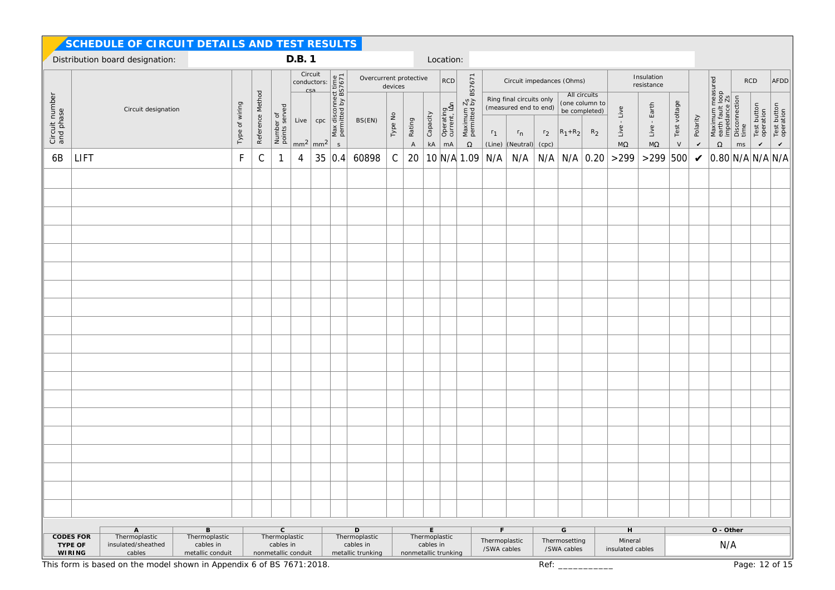|                             | SCHEDULE OF CIRCUIT DETAILS AND TEST RESULTS                                                       |                                                                      |                                                                                                      |                                                                                                                                                                                  |                            |                                        |  |             |                                      |                              |                       |                                    |                           |                                               |                              |                                                   |                |                              |                                                 |                                         |                                  |              |                          |                                                                               |      |                          |                          |
|-----------------------------|----------------------------------------------------------------------------------------------------|----------------------------------------------------------------------|------------------------------------------------------------------------------------------------------|----------------------------------------------------------------------------------------------------------------------------------------------------------------------------------|----------------------------|----------------------------------------|--|-------------|--------------------------------------|------------------------------|-----------------------|------------------------------------|---------------------------|-----------------------------------------------|------------------------------|---------------------------------------------------|----------------|------------------------------|-------------------------------------------------|-----------------------------------------|----------------------------------|--------------|--------------------------|-------------------------------------------------------------------------------|------|--------------------------|--------------------------|
|                             | Distribution board designation:                                                                    |                                                                      |                                                                                                      |                                                                                                                                                                                  |                            | D.B. 1                                 |  |             |                                      |                              |                       |                                    | Location:                 |                                               |                              |                                                   |                |                              |                                                 |                                         |                                  |              |                          |                                                                               |      |                          |                          |
|                             |                                                                                                    |                                                                      |                                                                                                      | Circuit<br>Circuit<br>conductors: <u>esa</u><br>csa<br>csa<br>csa<br>Live<br>cpc<br><u>star at at at at at a</u><br><u>star at at at a</u><br><u>star at at at a</u><br><b>l</b> |                            |                                        |  | devices     | Overcurrent protective<br><b>RCD</b> |                              |                       |                                    | Circuit impedances (Ohms) |                                               |                              |                                                   |                |                              | Insulation<br>resistance                        |                                         |                                  |              |                          | <b>RCD</b>                                                                    | AFDD |                          |                          |
| Circuit number<br>and phase |                                                                                                    | Circuit designation                                                  | Type of wiring                                                                                       | Reference Method                                                                                                                                                                 |                            |                                        |  |             | BS(EN)                               |                              |                       |                                    | Operating<br>current, IAn | Maximum Z <sub>S</sub><br>permitted by BS7671 |                              | Ring final circuits only<br>(measured end to end) |                |                              | All circuits<br>(one column to<br>be completed) | $\mathsf{Live} \text{ -} \mathsf{Live}$ | Earth                            | Test voltage |                          | Maximum measured<br>earth fault loop<br>impedance Zs<br>Disconnection<br>time |      | Test button<br>operation | Test button<br>operation |
|                             |                                                                                                    |                                                                      |                                                                                                      |                                                                                                                                                                                  | Number of<br>points served | $\mid$ mm <sup>2</sup> mm <sup>2</sup> |  | $\mathsf S$ |                                      | Type No                      | Rating<br>$\mathsf A$ | Capacity<br>$\mathsf{k}\mathsf{A}$ | mA                        | $\Omega$                                      | $r_1$<br>(Line)              | $r_{n}$<br>(Neutral) (cpc)                        | r <sub>2</sub> | $ R_1 + R_2 $                | $R_2$                                           | $\rm{M}\Omega$                          | $Live - i$<br>$\mathsf{M}\Omega$ | $\vee$       | Polarity<br>$\checkmark$ | $\Omega$                                                                      | ms   | $\checkmark$             | $\mathbf{v}$             |
| 6B                          | LIFT                                                                                               |                                                                      | F                                                                                                    | $\mathsf C$                                                                                                                                                                      |                            | 4                                      |  | 35 0.4      | 60898                                | $\mathbb C$                  | 20                    |                                    |                           | 10 N/A 1.09                                   | N/A                          | N/A                                               |                |                              | $N/A$ $N/A$ 0.20                                | >299                                    | $>299$                           | 500          | $\checkmark$             | 0.80 N/A N/A N/A                                                              |      |                          |                          |
|                             |                                                                                                    |                                                                      |                                                                                                      |                                                                                                                                                                                  |                            |                                        |  |             |                                      |                              |                       |                                    |                           |                                               |                              |                                                   |                |                              |                                                 |                                         |                                  |              |                          |                                                                               |      |                          |                          |
|                             |                                                                                                    |                                                                      |                                                                                                      |                                                                                                                                                                                  |                            |                                        |  |             |                                      |                              |                       |                                    |                           |                                               |                              |                                                   |                |                              |                                                 |                                         |                                  |              |                          |                                                                               |      |                          |                          |
|                             |                                                                                                    |                                                                      |                                                                                                      |                                                                                                                                                                                  |                            |                                        |  |             |                                      |                              |                       |                                    |                           |                                               |                              |                                                   |                |                              |                                                 |                                         |                                  |              |                          |                                                                               |      |                          |                          |
|                             |                                                                                                    |                                                                      |                                                                                                      |                                                                                                                                                                                  |                            |                                        |  |             |                                      |                              |                       |                                    |                           |                                               |                              |                                                   |                |                              |                                                 |                                         |                                  |              |                          |                                                                               |      |                          |                          |
|                             |                                                                                                    |                                                                      |                                                                                                      |                                                                                                                                                                                  |                            |                                        |  |             |                                      |                              |                       |                                    |                           |                                               |                              |                                                   |                |                              |                                                 |                                         |                                  |              |                          |                                                                               |      |                          |                          |
|                             |                                                                                                    |                                                                      |                                                                                                      |                                                                                                                                                                                  |                            |                                        |  |             |                                      |                              |                       |                                    |                           |                                               |                              |                                                   |                |                              |                                                 |                                         |                                  |              |                          |                                                                               |      |                          |                          |
|                             |                                                                                                    |                                                                      |                                                                                                      |                                                                                                                                                                                  |                            |                                        |  |             |                                      |                              |                       |                                    |                           |                                               |                              |                                                   |                |                              |                                                 |                                         |                                  |              |                          |                                                                               |      |                          |                          |
|                             |                                                                                                    |                                                                      |                                                                                                      |                                                                                                                                                                                  |                            |                                        |  |             |                                      |                              |                       |                                    |                           |                                               |                              |                                                   |                |                              |                                                 |                                         |                                  |              |                          |                                                                               |      |                          |                          |
|                             |                                                                                                    |                                                                      |                                                                                                      |                                                                                                                                                                                  |                            |                                        |  |             |                                      |                              |                       |                                    |                           |                                               |                              |                                                   |                |                              |                                                 |                                         |                                  |              |                          |                                                                               |      |                          |                          |
|                             |                                                                                                    |                                                                      |                                                                                                      |                                                                                                                                                                                  |                            |                                        |  |             |                                      |                              |                       |                                    |                           |                                               |                              |                                                   |                |                              |                                                 |                                         |                                  |              |                          |                                                                               |      |                          |                          |
|                             |                                                                                                    |                                                                      |                                                                                                      |                                                                                                                                                                                  |                            |                                        |  |             |                                      |                              |                       |                                    |                           |                                               |                              |                                                   |                |                              |                                                 |                                         |                                  |              |                          |                                                                               |      |                          |                          |
|                             |                                                                                                    |                                                                      |                                                                                                      |                                                                                                                                                                                  |                            |                                        |  |             |                                      |                              |                       |                                    |                           |                                               |                              |                                                   |                |                              |                                                 |                                         |                                  |              |                          |                                                                               |      |                          |                          |
|                             |                                                                                                    |                                                                      |                                                                                                      |                                                                                                                                                                                  |                            |                                        |  |             |                                      |                              |                       |                                    |                           |                                               |                              |                                                   |                |                              |                                                 |                                         |                                  |              |                          |                                                                               |      |                          |                          |
|                             |                                                                                                    |                                                                      |                                                                                                      |                                                                                                                                                                                  |                            |                                        |  |             |                                      |                              |                       |                                    |                           |                                               |                              |                                                   |                |                              |                                                 |                                         |                                  |              |                          |                                                                               |      |                          |                          |
|                             |                                                                                                    |                                                                      |                                                                                                      |                                                                                                                                                                                  |                            |                                        |  |             |                                      |                              |                       |                                    |                           |                                               |                              |                                                   |                |                              |                                                 |                                         |                                  |              |                          |                                                                               |      |                          |                          |
|                             |                                                                                                    |                                                                      |                                                                                                      |                                                                                                                                                                                  |                            |                                        |  |             |                                      |                              |                       |                                    |                           |                                               |                              |                                                   |                |                              |                                                 |                                         |                                  |              |                          |                                                                               |      |                          |                          |
|                             |                                                                                                    |                                                                      |                                                                                                      |                                                                                                                                                                                  |                            |                                        |  |             |                                      |                              |                       |                                    |                           |                                               |                              |                                                   |                |                              |                                                 |                                         |                                  |              |                          |                                                                               |      |                          |                          |
|                             |                                                                                                    |                                                                      |                                                                                                      |                                                                                                                                                                                  |                            |                                        |  |             |                                      |                              |                       |                                    |                           |                                               |                              |                                                   |                |                              |                                                 |                                         |                                  |              |                          |                                                                               |      |                          |                          |
|                             |                                                                                                    |                                                                      |                                                                                                      |                                                                                                                                                                                  |                            |                                        |  |             |                                      |                              |                       |                                    |                           |                                               |                              |                                                   |                |                              |                                                 |                                         |                                  |              |                          |                                                                               |      |                          |                          |
|                             |                                                                                                    |                                                                      |                                                                                                      |                                                                                                                                                                                  |                            |                                        |  |             |                                      |                              |                       |                                    |                           |                                               |                              |                                                   |                |                              |                                                 |                                         |                                  |              |                          |                                                                               |      |                          |                          |
|                             |                                                                                                    |                                                                      |                                                                                                      |                                                                                                                                                                                  |                            |                                        |  |             |                                      |                              |                       |                                    |                           |                                               |                              |                                                   |                |                              |                                                 |                                         |                                  |              |                          |                                                                               |      |                          |                          |
|                             |                                                                                                    | $\,$ B                                                               |                                                                                                      |                                                                                                                                                                                  | $\mathsf C$                |                                        |  |             | $\mathsf D$                          |                              |                       | E                                  |                           |                                               | F                            |                                                   |                | ${\mathsf G}$                |                                                 | $\boldsymbol{\mathsf{H}}$               |                                  |              |                          | O - Other                                                                     |      |                          |                          |
|                             | A<br>Thermoplastic<br><b>CODES FOR</b><br>TYPE OF<br>insulated/sheathed<br>cables<br><b>WIRING</b> | Thermoplastic<br>cables in<br>metallic conduit                       | Thermoplastic<br>Thermoplastic<br>cables in<br>cables in<br>metallic trunking<br>nonmetallic conduit |                                                                                                                                                                                  |                            |                                        |  |             |                                      |                              |                       | cables in                          | Thermoplastic             |                                               | Thermoplastic<br>/SWA cables |                                                   |                | Thermosetting<br>/SWA cables |                                                 | Mineral<br>N/A<br>insulated cables      |                                  |              |                          |                                                                               |      |                          |                          |
|                             |                                                                                                    | This form is based on the model shown in Appendix 6 of BS 7671:2018. |                                                                                                      |                                                                                                                                                                                  |                            |                                        |  |             |                                      | nonmetallic trunking<br>Ref: |                       |                                    |                           |                                               |                              |                                                   |                |                              |                                                 | Page: 12 of 15                          |                                  |              |                          |                                                                               |      |                          |                          |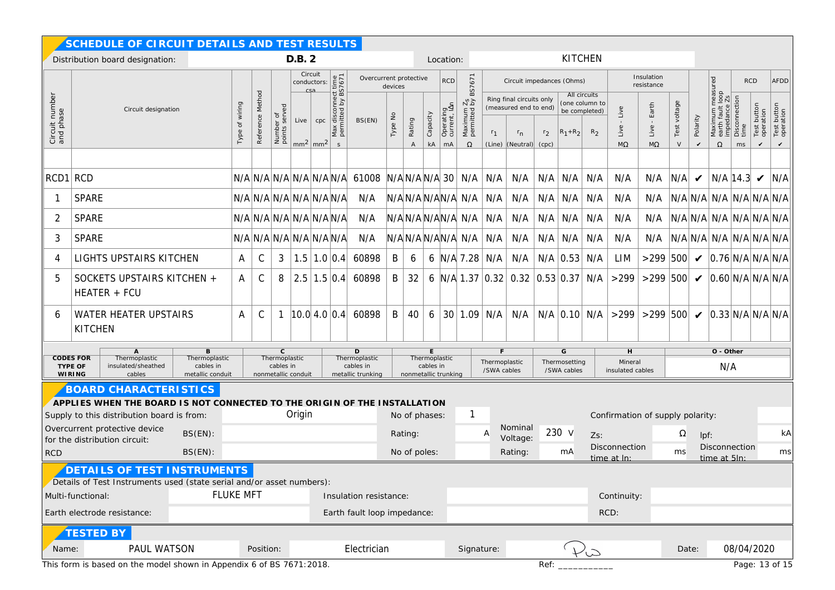|                                                                      | SCHEDULE OF CIRCUIT DETAILS AND TEST RESULTS                                                                                                |                                                                             |                                     |                            |        |                               |                                                         |                                                    |         |                          |                |                                 |      |                                                                   |                           |                                                                                  |                                  |             |                                                                   |                           |                                           |                           |                            |                                                                                                                                                             |                             |                                             |                                          |
|----------------------------------------------------------------------|---------------------------------------------------------------------------------------------------------------------------------------------|-----------------------------------------------------------------------------|-------------------------------------|----------------------------|--------|-------------------------------|---------------------------------------------------------|----------------------------------------------------|---------|--------------------------|----------------|---------------------------------|------|-------------------------------------------------------------------|---------------------------|----------------------------------------------------------------------------------|----------------------------------|-------------|-------------------------------------------------------------------|---------------------------|-------------------------------------------|---------------------------|----------------------------|-------------------------------------------------------------------------------------------------------------------------------------------------------------|-----------------------------|---------------------------------------------|------------------------------------------|
|                                                                      | Distribution board designation:                                                                                                             |                                                                             |                                     |                            | D.B. 2 |                               |                                                         |                                                    |         |                          |                | Location:                       |      | <b>KITCHEN</b>                                                    |                           |                                                                                  |                                  |             |                                                                   |                           |                                           |                           |                            |                                                                                                                                                             |                             |                                             |                                          |
|                                                                      |                                                                                                                                             |                                                                             |                                     |                            |        | Circuit<br>conductors:<br>csa | Overcurrent protective<br><b>RCD</b><br>devices         |                                                    |         |                          |                |                                 |      | BS7671                                                            | Circuit impedances (Ohms) |                                                                                  |                                  |             |                                                                   |                           | Insulation<br>resistance                  |                           |                            | ured                                                                                                                                                        | <b>RCD</b>                  |                                             | <b>AFDD</b>                              |
| Circuit number<br>and phase                                          | Circuit designation                                                                                                                         | of wiring<br>Туре                                                           | Reference Method                    | Number of<br>points served | Live   | cpc<br>$mm2$ mm <sup>2</sup>  | disconnect time<br>hitted by BS7671<br>Max<br>perm<br>S | BS(EN)                                             | Type No | Rating<br>$\overline{A}$ | Capacity<br>kA | Operating<br>current, IAn<br>mA |      | Maximum Z <sub>S</sub><br>permitted by I<br>$\Omega$              | r <sub>1</sub>            | Ring final circuits only<br>(measured end to end)<br>$r_{n}$<br>(Line) (Neutral) | r <sub>2</sub><br>(cpc)          | $R_1 + R_2$ | All circuits<br>(one column to<br>be completed)<br>R <sub>2</sub> | Live<br>Live<br>$M\Omega$ | Earth<br>Live<br>$M\Omega$                | voltage<br>Test<br>$\vee$ | Polarity<br>$\checkmark$   | $\begin{array}{c}\n\text{meas} \\ \downarrow \text{loop} \\ \hline\n\vdots \text{loop}\n\end{array}$<br>Maximum m<br>earth fault I<br>impedance<br>$\Omega$ | Disconnection<br>time<br>ms | button<br>operation<br>Test<br>$\checkmark$ | Test button<br>operation<br>$\checkmark$ |
|                                                                      |                                                                                                                                             |                                                                             |                                     |                            |        |                               |                                                         |                                                    |         |                          |                |                                 |      |                                                                   |                           |                                                                                  |                                  |             |                                                                   |                           |                                           |                           |                            |                                                                                                                                                             |                             |                                             |                                          |
| RCD1 RCD                                                             |                                                                                                                                             |                                                                             |                                     |                            |        |                               |                                                         | $N/A \ N/A \ N/A \ N/A \ N/A \ N/A \ N/A \ 61008$  |         | $N/A$ $N/A$ $N/A$ 30     |                |                                 |      | N/A                                                               | N/A                       | N/A                                                                              | N/A                              | N/A         | N/A                                                               | N/A                       | N/A                                       | N/A                       | $\boldsymbol{\mathcal{U}}$ | N/A 14.3                                                                                                                                                    |                             | $\boldsymbol{\mathcal{U}}$                  | N/A                                      |
|                                                                      | <b>SPARE</b>                                                                                                                                |                                                                             | $N/A$ $N/A$ $N/A$ $N/A$ $N/A$ $N/A$ |                            |        |                               |                                                         | N/A                                                |         | N/AN/AN/AN/AN/A          |                |                                 |      |                                                                   | N/A                       | N/A                                                                              | N/A                              | N/A         | N/A                                                               | N/A                       | N/A                                       |                           |                            | $N/A$ $N/A$ $N/A$ $N/A$ $N/A$ $N/A$                                                                                                                         |                             |                                             |                                          |
| 2                                                                    | <b>SPARE</b>                                                                                                                                |                                                                             | $N/A$ $N/A$ $N/A$ $N/A$ $N/A$ $N/A$ |                            |        |                               |                                                         | N/A                                                |         | N/AN/AN/AN/AN/A          |                |                                 |      |                                                                   | N/A                       | N/A                                                                              |                                  | $N/A$ $N/A$ | N/A                                                               | N/A                       | N/A                                       |                           |                            | $N/A$ $N/A$ $N/A$ $N/A$ $N/A$ $N/A$                                                                                                                         |                             |                                             |                                          |
| 3                                                                    | <b>SPARE</b>                                                                                                                                |                                                                             | N/A N/A N/A N/A N/A N/A             |                            |        |                               |                                                         | N/A                                                |         | N/AN/AN/AN/A N/A         |                |                                 |      |                                                                   | N/A                       | N/A                                                                              |                                  | $N/A$ $N/A$ | N/A                                                               | N/A                       | N/A                                       |                           |                            | N/A N/A N/A N/A N/A N/A N/A                                                                                                                                 |                             |                                             |                                          |
| 4                                                                    | LIGHTS UPSTAIRS KITCHEN                                                                                                                     | Α                                                                           | $\mathsf C$                         | 3                          |        | $1.5$ 1.0 0.4                 |                                                         | 60898                                              | B       | 6                        |                |                                 |      | 6 $N/A$ 7.28                                                      | N/A                       | N/A                                                                              |                                  | $N/A$ 0.53  | N/A                                                               | LIM                       | $>299$ 500                                |                           |                            | $\vee$ 0.76 N/A N/A N/A                                                                                                                                     |                             |                                             |                                          |
| 5                                                                    | SOCKETS UPSTAIRS KITCHEN +<br>HEATER + FCU                                                                                                  | A                                                                           | C                                   | 8                          |        |                               | $2.5$ 1.5 0.4                                           | 60898                                              | B       | 32                       |                |                                 |      |                                                                   |                           | 6 N/A 1.37 0.32 0.32 0.53 0.37 N/A                                               |                                  |             |                                                                   | $>299$                    | $>299$ 500                                |                           |                            | $\checkmark$ 0.60 N/A N/A N/A                                                                                                                               |                             |                                             |                                          |
| 6                                                                    | <b>WATER HEATER UPSTAIRS</b><br><b>KITCHEN</b>                                                                                              | A                                                                           | C                                   | $\mathbf{1}$               |        |                               | $ 10.0 $ 4.0 $ 0.4 $                                    | 60898                                              | B       | 40                       | 6              |                                 |      | 30 1.09                                                           | N/A                       | N/A                                                                              |                                  |             | $N/A$ 0.10 $N/A$                                                  | >299                      | $>299$ 500                                |                           |                            | $\checkmark$ 0.33 N/A N/A N/A                                                                                                                               |                             |                                             |                                          |
|                                                                      | $\overline{A}$<br>B<br><b>CODES FOR</b><br>Thermoplastic<br>Thermoplastic<br>TYPE OF<br>insulated/sheathed<br>cables in<br>cables<br>WIRING | C.<br>Thermoplastic<br>cables in<br>metallic conduit<br>nonmetallic conduit |                                     |                            |        |                               | D<br>Thermoplastic<br>cables in<br>metallic trunking    | Thermoplastic<br>cables in<br>nonmetallic trunking |         |                          |                |                                 |      | G<br>Thermoplastic<br>Thermosetting<br>/SWA cables<br>/SWA cables |                           |                                                                                  |                                  |             | Н<br>Mineral<br>insulated cables                                  |                           |                                           |                           | O - Other<br>N/A           |                                                                                                                                                             |                             |                                             |                                          |
|                                                                      | <b>BOARD CHARACTERISTICS</b><br>APPLIES WHEN THE BOARD IS NOT CONNECTED TO THE ORIGIN OF THE INSTALLATION                                   |                                                                             |                                     |                            |        |                               |                                                         |                                                    |         |                          |                |                                 |      |                                                                   |                           |                                                                                  |                                  |             |                                                                   |                           |                                           |                           |                            |                                                                                                                                                             |                             |                                             |                                          |
|                                                                      | Origin<br>Supply to this distribution board is from:<br>No of phases:                                                                       |                                                                             |                                     |                            |        |                               |                                                         |                                                    |         |                          |                |                                 |      |                                                                   |                           |                                                                                  | Confirmation of supply polarity: |             |                                                                   |                           |                                           |                           |                            |                                                                                                                                                             |                             |                                             |                                          |
|                                                                      | $BS(EN)$ :<br>for the distribution circuit:                                                                                                 | Overcurrent protective device                                               |                                     |                            |        |                               |                                                         |                                                    |         | Rating:                  |                |                                 |      |                                                                   | Nominal<br>A<br>Voltage:  |                                                                                  | 230 v                            |             | $Zs$ :<br>Disconnection                                           |                           | Ω                                         |                           |                            | lpf:                                                                                                                                                        |                             |                                             | kA                                       |
| <b>RCD</b>                                                           | $BS(EN)$ :                                                                                                                                  |                                                                             |                                     |                            |        |                               |                                                         |                                                    |         | No of poles:             |                |                                 |      |                                                                   |                           | Rating:                                                                          |                                  | mA          |                                                                   | time at In:               | Disconnection<br>ms<br>ms<br>time at 5ln: |                           |                            |                                                                                                                                                             |                             |                                             |                                          |
|                                                                      | DETAILS OF TEST INSTRUMENTS                                                                                                                 |                                                                             |                                     |                            |        |                               |                                                         |                                                    |         |                          |                |                                 |      |                                                                   |                           |                                                                                  |                                  |             |                                                                   |                           |                                           |                           |                            |                                                                                                                                                             |                             |                                             |                                          |
|                                                                      | Details of Test Instruments used (state serial and/or asset numbers):<br><b>FLUKE MFT</b><br>Insulation resistance:<br>Multi-functional:    |                                                                             |                                     |                            |        |                               |                                                         |                                                    |         |                          |                |                                 |      |                                                                   |                           | Continuity:                                                                      |                                  |             |                                                                   |                           |                                           |                           |                            |                                                                                                                                                             |                             |                                             |                                          |
|                                                                      | Earth electrode resistance:                                                                                                                 |                                                                             |                                     |                            |        |                               |                                                         | Earth fault loop impedance:                        |         |                          |                |                                 |      |                                                                   |                           |                                                                                  |                                  |             |                                                                   | RCD:                      |                                           |                           |                            |                                                                                                                                                             |                             |                                             |                                          |
| Name:                                                                | <b>TESTED BY</b><br>PAUL WATSON                                                                                                             |                                                                             | Position:                           |                            |        |                               |                                                         | Electrician                                        |         |                          |                |                                 |      | Signature:                                                        |                           |                                                                                  |                                  |             | 45                                                                |                           |                                           |                           | Date:                      |                                                                                                                                                             | 08/04/2020                  |                                             |                                          |
| This form is based on the model shown in Appendix 6 of BS 7671:2018. |                                                                                                                                             |                                                                             |                                     |                            |        |                               |                                                         |                                                    |         |                          |                |                                 | Ref: |                                                                   |                           |                                                                                  |                                  |             |                                                                   |                           |                                           |                           | Page: 13 of 15             |                                                                                                                                                             |                             |                                             |                                          |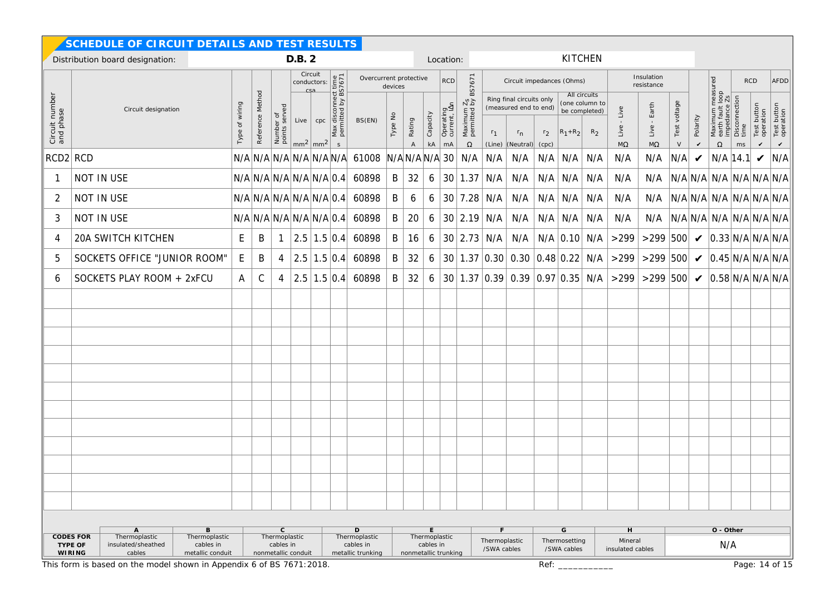|                             | SCHEDULE OF CIRCUIT DETAILS AND TEST RESULTS                                                                 |                                                             |                  |                            |        |                                                    |                                                      |                                             |                      |                                        |                        |                           |                              |                |                                                              |                |                     |                                                                   |                                          |                                     |                  |                                 |                                          |                       |                                            |                          |
|-----------------------------|--------------------------------------------------------------------------------------------------------------|-------------------------------------------------------------|------------------|----------------------------|--------|----------------------------------------------------|------------------------------------------------------|---------------------------------------------|----------------------|----------------------------------------|------------------------|---------------------------|------------------------------|----------------|--------------------------------------------------------------|----------------|---------------------|-------------------------------------------------------------------|------------------------------------------|-------------------------------------|------------------|---------------------------------|------------------------------------------|-----------------------|--------------------------------------------|--------------------------|
|                             | Distribution board designation:                                                                              |                                                             |                  |                            | D.B. 2 |                                                    |                                                      |                                             |                      |                                        |                        | Location:                 |                              |                |                                                              |                | <b>KITCHEN</b>      |                                                                   |                                          |                                     |                  |                                 |                                          |                       |                                            |                          |
|                             |                                                                                                              |                                                             |                  |                            |        | Circuit<br>conductors:<br>csa                      |                                                      | Overcurrent protective                      | devices              |                                        |                        | <b>RCD</b>                | BS7671                       |                | Circuit impedances (Ohms)                                    |                |                     |                                                                   |                                          | Insulation<br>resistance            |                  |                                 | measured<br>t loop<br>e Zs               |                       | <b>RCD</b>                                 | AFDD                     |
| Circuit number<br>and phase | Circuit designation                                                                                          | wiring<br>$\delta$<br>Type                                  | Reference Method | Number of<br>points served | Live   | cpc                                                | Max disconnect time<br>permitted by BS7671           | BS(EN)                                      | Type No              | Rating                                 | Capacity               | Operating<br>current, IAn | $\frac{7s}{2}$<br>Maximum    | r <sub>1</sub> | Ring final circuits only<br>(measured end to end)<br>$r_{n}$ | r <sub>2</sub> | $ R_1+R_2 $         | All circuits<br>(one column to<br>be completed)<br>R <sub>2</sub> | Live<br>Live                             | Earth<br>Live                       | voltage<br>Test  | Polarity                        | Maximum m<br>earth fault le<br>impedance | Disconnection<br>time | Test button<br>operation                   | Test button<br>operation |
| RCD2 RCD                    |                                                                                                              |                                                             |                  |                            |        | $mm2$ mm <sup>2</sup>                              | $\mathsf{s}$                                         | $N/A N/A N/A N/A N/A N/A $ 61008            |                      | $\overline{A}$<br>$N/A$ $N/A$ $N/A$ 30 | $\mathsf{k}\mathsf{A}$ | mA                        | $\Omega$<br>N/A              | (Line)<br>N/A  | (Neutral)<br>N/A                                             | (cpc)<br>N/A   | $\vert$ N/A $\vert$ | N/A                                                               | $\mathsf{M}\Omega$<br>N/A                | $M\Omega$<br>N/A                    | $\vee$<br>N/A    | V<br>$\boldsymbol{\mathcal{U}}$ | $\Omega$<br>$N/A$ 14.1                   | ms                    | $\checkmark$<br>$\boldsymbol{\mathcal{U}}$ | $\checkmark$<br>N/A      |
|                             | NOT IN USE                                                                                                   |                                                             |                  |                            |        |                                                    |                                                      | $N/A N/A N/A N/A N/A 0.4 $ 60898            | B                    | 32                                     | 6                      |                           | 30   1.37   N/A              |                | N/A                                                          |                | $N/A$ $N/A$         | N/A                                                               | N/A                                      | N/A                                 |                  |                                 | $N/A$ N/A N/A $N/A$ N/A N/A N/A          |                       |                                            |                          |
| 2                           | NOT IN USE                                                                                                   |                                                             |                  |                            |        | N/A N/A N/A N/A N/A 0.4                            |                                                      | 60898                                       | B                    | 6                                      | 6                      |                           | $30$ 7.28 N/A                |                | N/A                                                          |                | $N/A$ $N/A$         | N/A                                                               | N/A                                      | N/A                                 |                  |                                 | $N/A$ N/A N/A N/A N/A N/A N/A            |                       |                                            |                          |
| 3                           | NOT IN USE                                                                                                   |                                                             |                  |                            |        | $N/A \mid N/A \mid N/A \mid N/A \mid N/A \mid 0.4$ |                                                      | 60898                                       | B                    | 20                                     | 6                      |                           | 30   2.19   N/A              |                | N/A                                                          |                | $N/A$ $N/A$ $N/A$   |                                                                   | N/A                                      | N/A                                 |                  |                                 | $N/A$ N/A N/A N/A N/A N/A N/A            |                       |                                            |                          |
| 4                           | 20A SWITCH KITCHEN                                                                                           | E.                                                          | B                | $\mathbf{1}$               |        |                                                    |                                                      | $\vert 2.5 \vert 1.5 \vert 0.4 \vert 60898$ | B                    | 16                                     | 6                      |                           | 30   2.73   N/A              |                | N/A                                                          |                | $N/A$ 0.10 N/A      |                                                                   | >299                                     | >299 500 $\bigvee$ 0.33 N/A N/A N/A |                  |                                 |                                          |                       |                                            |                          |
| 5                           | SOCKETS OFFICE "JUNIOR ROOM"                                                                                 | E.                                                          | B                | 4                          |        | $2.5 \mid 1.5 \mid 0.4$                            |                                                      | 60898                                       | B                    | 32                                     | 6                      |                           |                              |                | 30 1.37 0.30 0.30 0.48 0.22 N/A                              |                |                     |                                                                   | >299                                     | >299 500 $\bigvee$ 0.45 N/A N/A N/A |                  |                                 |                                          |                       |                                            |                          |
| 6                           | SOCKETS PLAY ROOM + 2xFCU                                                                                    | A                                                           | C                | 4                          |        | 2.5 1.5 0.4                                        |                                                      | 60898                                       | B                    | 32                                     | 6                      |                           |                              |                |                                                              |                |                     |                                                                   | $30 1.37 0.39 0.39 0.97 0.35 N/A  > 299$ | >299 500 $\bigvee$ 0.58 N/A N/A N/A |                  |                                 |                                          |                       |                                            |                          |
|                             |                                                                                                              |                                                             |                  |                            |        |                                                    |                                                      |                                             |                      |                                        |                        |                           |                              |                |                                                              |                |                     |                                                                   |                                          |                                     |                  |                                 |                                          |                       |                                            |                          |
|                             |                                                                                                              |                                                             |                  |                            |        |                                                    |                                                      |                                             |                      |                                        |                        |                           |                              |                |                                                              |                |                     |                                                                   |                                          |                                     |                  |                                 |                                          |                       |                                            |                          |
|                             |                                                                                                              |                                                             |                  |                            |        |                                                    |                                                      |                                             |                      |                                        |                        |                           |                              |                |                                                              |                |                     |                                                                   |                                          |                                     |                  |                                 |                                          |                       |                                            |                          |
|                             |                                                                                                              |                                                             |                  |                            |        |                                                    |                                                      |                                             |                      |                                        |                        |                           |                              |                |                                                              |                |                     |                                                                   |                                          |                                     |                  |                                 |                                          |                       |                                            |                          |
|                             |                                                                                                              |                                                             |                  |                            |        |                                                    |                                                      |                                             |                      |                                        |                        |                           |                              |                |                                                              |                |                     |                                                                   |                                          |                                     |                  |                                 |                                          |                       |                                            |                          |
|                             |                                                                                                              |                                                             |                  |                            |        |                                                    |                                                      |                                             |                      |                                        |                        |                           |                              |                |                                                              |                |                     |                                                                   |                                          |                                     |                  |                                 |                                          |                       |                                            |                          |
|                             |                                                                                                              |                                                             |                  |                            |        |                                                    |                                                      |                                             |                      |                                        |                        |                           |                              |                |                                                              |                |                     |                                                                   |                                          |                                     |                  |                                 |                                          |                       |                                            |                          |
|                             |                                                                                                              |                                                             |                  |                            |        |                                                    |                                                      |                                             |                      |                                        |                        |                           |                              |                |                                                              |                |                     |                                                                   |                                          |                                     |                  |                                 |                                          |                       |                                            |                          |
|                             |                                                                                                              |                                                             |                  |                            |        |                                                    |                                                      |                                             |                      |                                        |                        |                           |                              |                |                                                              |                |                     |                                                                   |                                          |                                     |                  |                                 |                                          |                       |                                            |                          |
|                             |                                                                                                              |                                                             |                  |                            |        |                                                    |                                                      |                                             |                      |                                        |                        |                           |                              |                |                                                              |                |                     |                                                                   |                                          |                                     |                  |                                 |                                          |                       |                                            |                          |
|                             |                                                                                                              |                                                             |                  |                            |        |                                                    |                                                      |                                             |                      |                                        |                        |                           |                              |                |                                                              |                |                     |                                                                   |                                          |                                     |                  |                                 |                                          |                       |                                            |                          |
|                             |                                                                                                              |                                                             |                  |                            |        |                                                    |                                                      |                                             |                      |                                        |                        |                           |                              |                |                                                              |                |                     |                                                                   |                                          |                                     |                  |                                 |                                          |                       |                                            |                          |
| <b>CODES FOR</b><br>TYPE OF | B<br>$A$ Thermoplastic<br>insulated/sheathed<br>cables in<br>cables<br>metallic conduit                      | $\mathsf{C}$<br>Thermoplastic<br>Thermoplastic<br>cables in |                  |                            |        |                                                    | D<br>Thermoplastic<br>cables in<br>metallic trunking |                                             | nonmetallic trunking | E<br>Thermoplastic<br>cables in        |                        |                           | Thermoplastic<br>/SWA cables |                | G<br>Thermosetting<br>/SWA cables                            |                |                     | H<br>Mineral<br>insulated cables                                  |                                          |                                     | O - Other<br>N/A |                                 |                                          |                       |                                            |                          |
|                             | <b>WIRING</b><br>nonmetallic conduit<br>This form is based on the model shown in Appendix 6 of BS 7671:2018. |                                                             |                  |                            |        |                                                    |                                                      |                                             |                      |                                        |                        | Ref:<br>Page: 14 of 15    |                              |                |                                                              |                |                     |                                                                   |                                          |                                     |                  |                                 |                                          |                       |                                            |                          |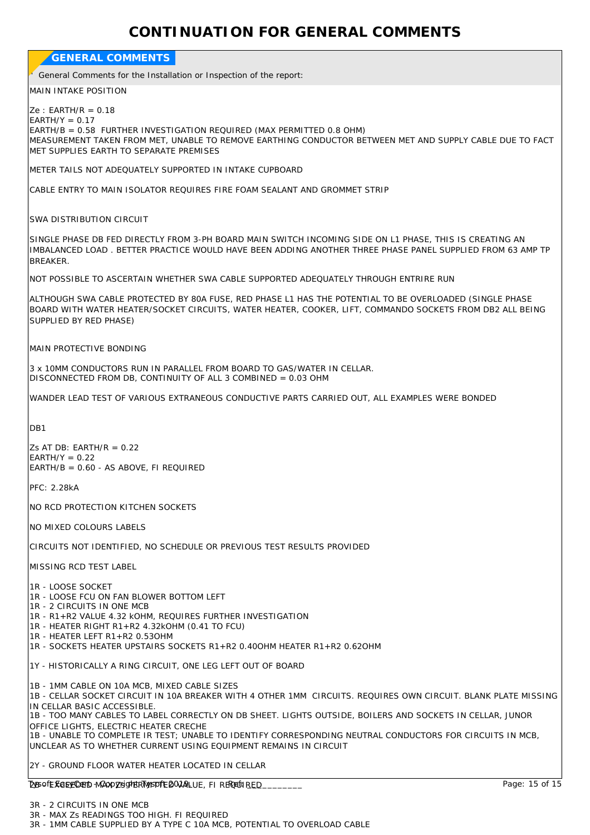## **CONTINUATION FOR GENERAL COMMENTS**

| <b>GENERAL COMMENTS</b>                                                                                                                                                                                                                                                                                                                                                                                                                                                                                                              |
|--------------------------------------------------------------------------------------------------------------------------------------------------------------------------------------------------------------------------------------------------------------------------------------------------------------------------------------------------------------------------------------------------------------------------------------------------------------------------------------------------------------------------------------|
| General Comments for the Installation or Inspection of the report:                                                                                                                                                                                                                                                                                                                                                                                                                                                                   |
| <b>MAIN INTAKE POSITION</b>                                                                                                                                                                                                                                                                                                                                                                                                                                                                                                          |
| $Ze: EARTH/R = 0.18$<br>$EARTH/Y = 0.17$<br>EARTH/B = 0.58 FURTHER INVESTIGATION REQUIRED (MAX PERMITTED 0.8 OHM)<br>MEASUREMENT TAKEN FROM MET, UNABLE TO REMOVE EARTHING CONDUCTOR BETWEEN MET AND SUPPLY CABLE DUE TO FACT<br>MET SUPPLIES EARTH TO SEPARATE PREMISES                                                                                                                                                                                                                                                             |
| METER TAILS NOT ADEQUATELY SUPPORTED IN INTAKE CUPBOARD                                                                                                                                                                                                                                                                                                                                                                                                                                                                              |
| CABLE ENTRY TO MAIN ISOLATOR REQUIRES FIRE FOAM SEALANT AND GROMMET STRIP                                                                                                                                                                                                                                                                                                                                                                                                                                                            |
| SWA DISTRIBUTION CIRCUIT                                                                                                                                                                                                                                                                                                                                                                                                                                                                                                             |
| SINGLE PHASE DB FED DIRECTLY FROM 3-PH BOARD MAIN SWITCH INCOMING SIDE ON L1 PHASE, THIS IS CREATING AN<br>IMBALANCED LOAD. BETTER PRACTICE WOULD HAVE BEEN ADDING ANOTHER THREE PHASE PANEL SUPPLIED FROM 63 AMP TP<br><b>BREAKER.</b>                                                                                                                                                                                                                                                                                              |
| NOT POSSIBLE TO ASCERTAIN WHETHER SWA CABLE SUPPORTED ADEQUATELY THROUGH ENTRIRE RUN                                                                                                                                                                                                                                                                                                                                                                                                                                                 |
| ALTHOUGH SWA CABLE PROTECTED BY 80A FUSE, RED PHASE L1 HAS THE POTENTIAL TO BE OVERLOADED (SINGLE PHASE<br>BOARD WITH WATER HEATER/SOCKET CIRCUITS, WATER HEATER, COOKER, LIFT, COMMANDO SOCKETS FROM DB2 ALL BEING<br>SUPPLIED BY RED PHASE)                                                                                                                                                                                                                                                                                        |
| MAIN PROTECTIVE BONDING                                                                                                                                                                                                                                                                                                                                                                                                                                                                                                              |
| 3 x 10MM CONDUCTORS RUN IN PARALLEL FROM BOARD TO GAS/WATER IN CELLAR.<br>DISCONNECTED FROM DB, CONTINUITY OF ALL 3 COMBINED = 0.03 OHM                                                                                                                                                                                                                                                                                                                                                                                              |
| WANDER LEAD TEST OF VARIOUS EXTRANEOUS CONDUCTIVE PARTS CARRIED OUT, ALL EXAMPLES WERE BONDED                                                                                                                                                                                                                                                                                                                                                                                                                                        |
| DB1                                                                                                                                                                                                                                                                                                                                                                                                                                                                                                                                  |
| Zs AT DB: EARTH/R = $0.22$<br>$EARTH/Y = 0.22$<br>EARTH/B = 0.60 - AS ABOVE, FI REQUIRED                                                                                                                                                                                                                                                                                                                                                                                                                                             |
| PFC: 2.28kA                                                                                                                                                                                                                                                                                                                                                                                                                                                                                                                          |
| NO RCD PROTECTION KITCHEN SOCKETS                                                                                                                                                                                                                                                                                                                                                                                                                                                                                                    |
| NO MIXED COLOURS LABELS                                                                                                                                                                                                                                                                                                                                                                                                                                                                                                              |
| CIRCUITS NOT IDENTIFIED, NO SCHEDULE OR PREVIOUS TEST RESULTS PROVIDED                                                                                                                                                                                                                                                                                                                                                                                                                                                               |
| MISSING RCD TEST LABEL                                                                                                                                                                                                                                                                                                                                                                                                                                                                                                               |
| 1R - LOOSE SOCKET<br>1R - LOOSE FCU ON FAN BLOWER BOTTOM LEFT<br>1R - 2 CIRCUITS IN ONE MCB<br>1R - R1+R2 VALUE 4.32 KOHM, REQUIRES FURTHER INVESTIGATION<br>1R - HEATER RIGHT R1+R2 4.32kOHM (0.41 TO FCU)<br>1R - HEATER LEFT R1+R2 0.53OHM<br>1R - SOCKETS HEATER UPSTAIRS SOCKETS R1+R2 0.400HM HEATER R1+R2 0.620HM                                                                                                                                                                                                             |
| 1Y - HISTORICALLY A RING CIRCUIT, ONE LEG LEFT OUT OF BOARD                                                                                                                                                                                                                                                                                                                                                                                                                                                                          |
| 1B - 1MM CABLE ON 10A MCB, MIXED CABLE SIZES<br>1B - CELLAR SOCKET CIRCUIT IN 10A BREAKER WITH 4 OTHER 1MM CIRCUITS. REQUIRES OWN CIRCUIT. BLANK PLATE MISSING<br>IN CELLAR BASIC ACCESSIBLE.<br>1B - TOO MANY CABLES TO LABEL CORRECTLY ON DB SHEET. LIGHTS OUTSIDE, BOILERS AND SOCKETS IN CELLAR, JUNOR<br>OFFICE LIGHTS, ELECTRIC HEATER CRECHE<br>1B - UNABLE TO COMPLETE IR TEST; UNABLE TO IDENTIFY CORRESPONDING NEUTRAL CONDUCTORS FOR CIRCUITS IN MCB,<br>UNCLEAR AS TO WHETHER CURRENT USING EQUIPMENT REMAINS IN CIRCUIT |
| 2Y - GROUND FLOOR WATER HEATER LOCATED IN CELLAR                                                                                                                                                                                                                                                                                                                                                                                                                                                                                     |
| Page: 15 of 15<br><b>DysofE KOEY CHED MAOO ZEGHERT WEDFE BOJALUE, FI REREUIRED.</b>                                                                                                                                                                                                                                                                                                                                                                                                                                                  |
| 2D 2 CIDCUITS IN ONE MCD                                                                                                                                                                                                                                                                                                                                                                                                                                                                                                             |